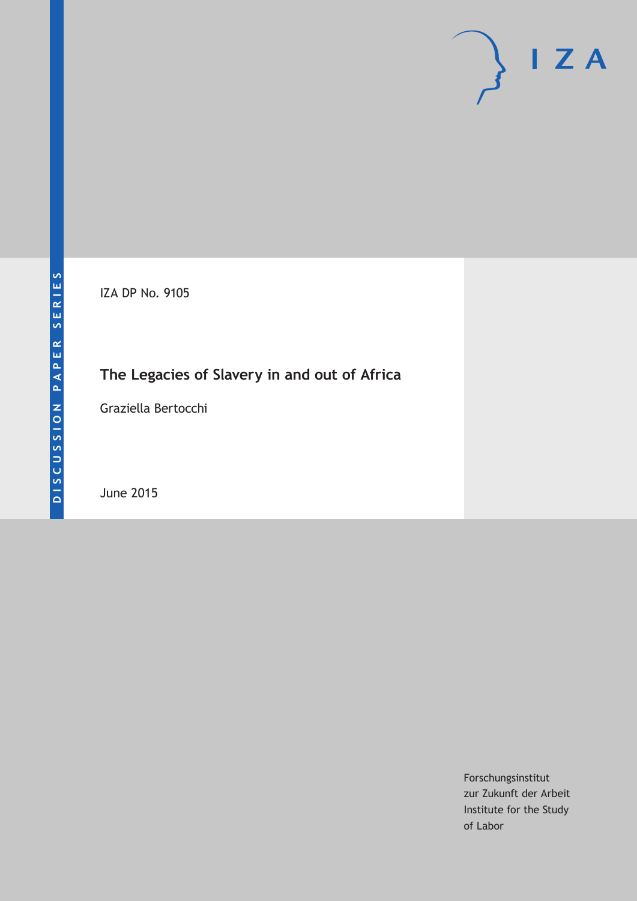# $\mathsf{I}$  Z A

IZA DP No. 9105

# **The Legacies of Slavery in and out of Africa**

Graziella Bertocchi

June 2015

Forschungsinstitut zur Zukunft der Arbeit Institute for the Study of Labor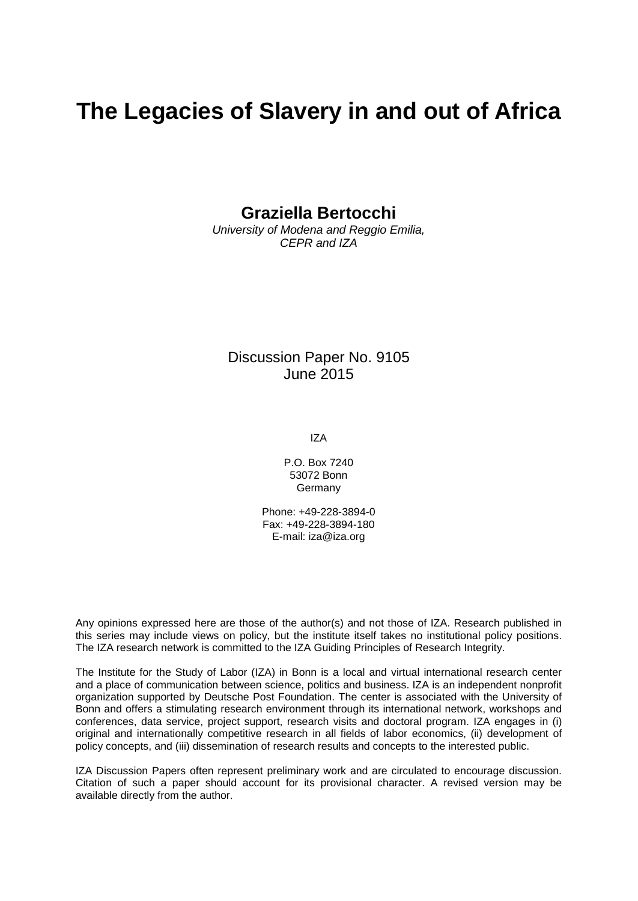# **The Legacies of Slavery in and out of Africa**

**Graziella Bertocchi**

*University of Modena and Reggio Emilia, CEPR and IZA*

Discussion Paper No. 9105 June 2015

IZA

P.O. Box 7240 53072 Bonn Germany

Phone: +49-228-3894-0 Fax: +49-228-3894-180 E-mail: iza@iza.org

Any opinions expressed here are those of the author(s) and not those of IZA. Research published in this series may include views on policy, but the institute itself takes no institutional policy positions. The IZA research network is committed to the IZA Guiding Principles of Research Integrity.

The Institute for the Study of Labor (IZA) in Bonn is a local and virtual international research center and a place of communication between science, politics and business. IZA is an independent nonprofit organization supported by Deutsche Post Foundation. The center is associated with the University of Bonn and offers a stimulating research environment through its international network, workshops and conferences, data service, project support, research visits and doctoral program. IZA engages in (i) original and internationally competitive research in all fields of labor economics, (ii) development of policy concepts, and (iii) dissemination of research results and concepts to the interested public.

<span id="page-1-0"></span>IZA Discussion Papers often represent preliminary work and are circulated to encourage discussion. Citation of such a paper should account for its provisional character. A revised version may be available directly from the author.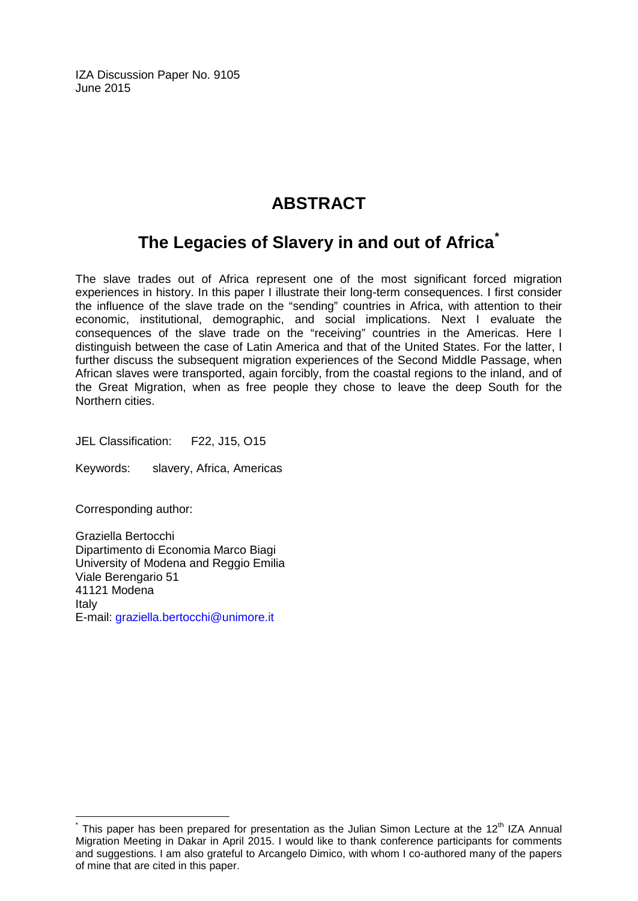IZA Discussion Paper No. 9105 June 2015

## **ABSTRACT**

## **The Legacies of Slavery in and out of Africa[\\*](#page-1-0)**

The slave trades out of Africa represent one of the most significant forced migration experiences in history. In this paper I illustrate their long-term consequences. I first consider the influence of the slave trade on the "sending" countries in Africa, with attention to their economic, institutional, demographic, and social implications. Next I evaluate the consequences of the slave trade on the "receiving" countries in the Americas. Here I distinguish between the case of Latin America and that of the United States. For the latter, I further discuss the subsequent migration experiences of the Second Middle Passage, when African slaves were transported, again forcibly, from the coastal regions to the inland, and of the Great Migration, when as free people they chose to leave the deep South for the Northern cities.

JEL Classification: F22, J15, O15

Keywords: slavery, Africa, Americas

Corresponding author:

Graziella Bertocchi Dipartimento di Economia Marco Biagi University of Modena and Reggio Emilia Viale Berengario 51 41121 Modena Italy E-mail: [graziella.bertocchi@unimore.it](mailto:graziella.bertocchi@unimore.it)

This paper has been prepared for presentation as the Julian Simon Lecture at the 12<sup>th</sup> IZA Annual Migration Meeting in Dakar in April 2015. I would like to thank conference participants for comments and suggestions. I am also grateful to Arcangelo Dimico, with whom I co-authored many of the papers of mine that are cited in this paper.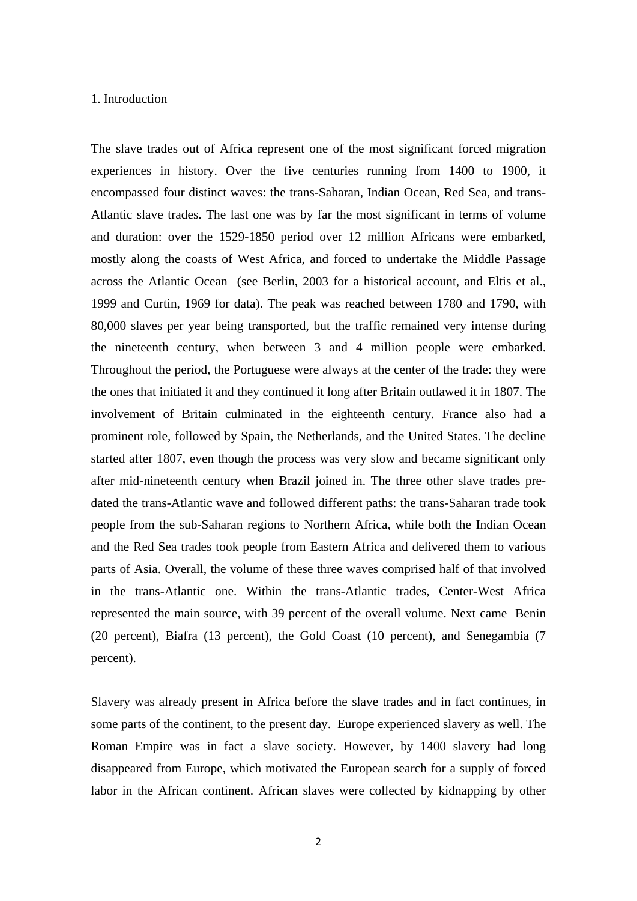#### 1. Introduction

The slave trades out of Africa represent one of the most significant forced migration experiences in history. Over the five centuries running from 1400 to 1900, it encompassed four distinct waves: the trans-Saharan, Indian Ocean, Red Sea, and trans-Atlantic slave trades. The last one was by far the most significant in terms of volume and duration: over the 1529-1850 period over 12 million Africans were embarked, mostly along the coasts of West Africa, and forced to undertake the Middle Passage across the Atlantic Ocean (see Berlin, 2003 for a historical account, and Eltis et al., 1999 and Curtin, 1969 for data). The peak was reached between 1780 and 1790, with 80,000 slaves per year being transported, but the traffic remained very intense during the nineteenth century, when between 3 and 4 million people were embarked. Throughout the period, the Portuguese were always at the center of the trade: they were the ones that initiated it and they continued it long after Britain outlawed it in 1807. The involvement of Britain culminated in the eighteenth century. France also had a prominent role, followed by Spain, the Netherlands, and the United States. The decline started after 1807, even though the process was very slow and became significant only after mid-nineteenth century when Brazil joined in. The three other slave trades predated the trans-Atlantic wave and followed different paths: the trans-Saharan trade took people from the sub-Saharan regions to Northern Africa, while both the Indian Ocean and the Red Sea trades took people from Eastern Africa and delivered them to various parts of Asia. Overall, the volume of these three waves comprised half of that involved in the trans-Atlantic one. Within the trans-Atlantic trades, Center-West Africa represented the main source, with 39 percent of the overall volume. Next came Benin (20 percent), Biafra (13 percent), the Gold Coast (10 percent), and Senegambia (7 percent).

Slavery was already present in Africa before the slave trades and in fact continues, in some parts of the continent, to the present day. Europe experienced slavery as well. The Roman Empire was in fact a slave society. However, by 1400 slavery had long disappeared from Europe, which motivated the European search for a supply of forced labor in the African continent. African slaves were collected by kidnapping by other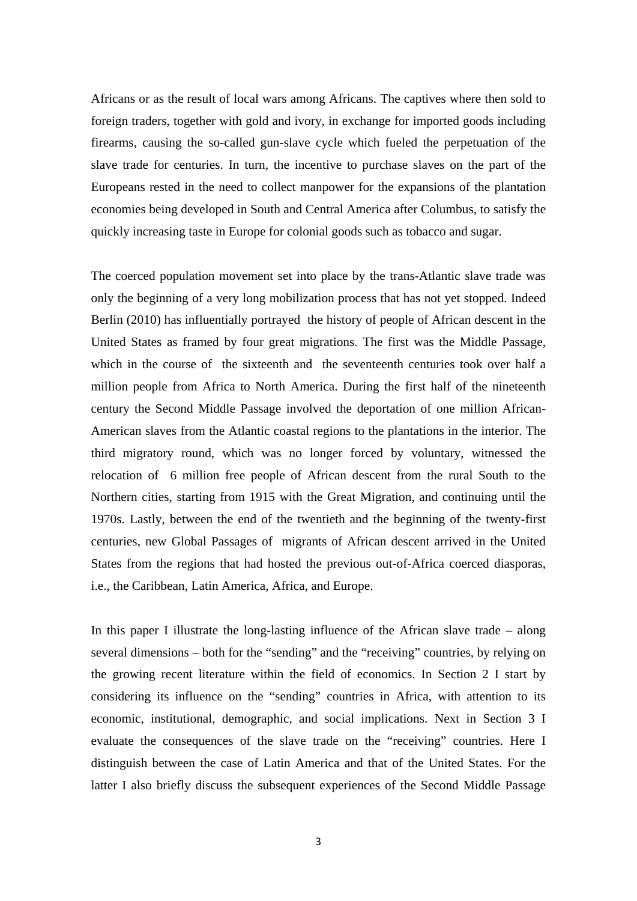Africans or as the result of local wars among Africans. The captives where then sold to foreign traders, together with gold and ivory, in exchange for imported goods including firearms, causing the so-called gun-slave cycle which fueled the perpetuation of the slave trade for centuries. In turn, the incentive to purchase slaves on the part of the Europeans rested in the need to collect manpower for the expansions of the plantation economies being developed in South and Central America after Columbus, to satisfy the quickly increasing taste in Europe for colonial goods such as tobacco and sugar.

The coerced population movement set into place by the trans-Atlantic slave trade was only the beginning of a very long mobilization process that has not yet stopped. Indeed Berlin (2010) has influentially portrayed the history of people of African descent in the United States as framed by four great migrations. The first was the Middle Passage, which in the course of the sixteenth and the seventeenth centuries took over half a million people from Africa to North America. During the first half of the nineteenth century the Second Middle Passage involved the deportation of one million African-American slaves from the Atlantic coastal regions to the plantations in the interior. The third migratory round, which was no longer forced by voluntary, witnessed the relocation of 6 million free people of African descent from the rural South to the Northern cities, starting from 1915 with the Great Migration, and continuing until the 1970s. Lastly, between the end of the twentieth and the beginning of the twenty-first centuries, new Global Passages of migrants of African descent arrived in the United States from the regions that had hosted the previous out-of-Africa coerced diasporas, i.e., the Caribbean, Latin America, Africa, and Europe.

In this paper I illustrate the long-lasting influence of the African slave trade – along several dimensions – both for the "sending" and the "receiving" countries, by relying on the growing recent literature within the field of economics. In Section 2 I start by considering its influence on the "sending" countries in Africa, with attention to its economic, institutional, demographic, and social implications. Next in Section 3 I evaluate the consequences of the slave trade on the "receiving" countries. Here I distinguish between the case of Latin America and that of the United States. For the latter I also briefly discuss the subsequent experiences of the Second Middle Passage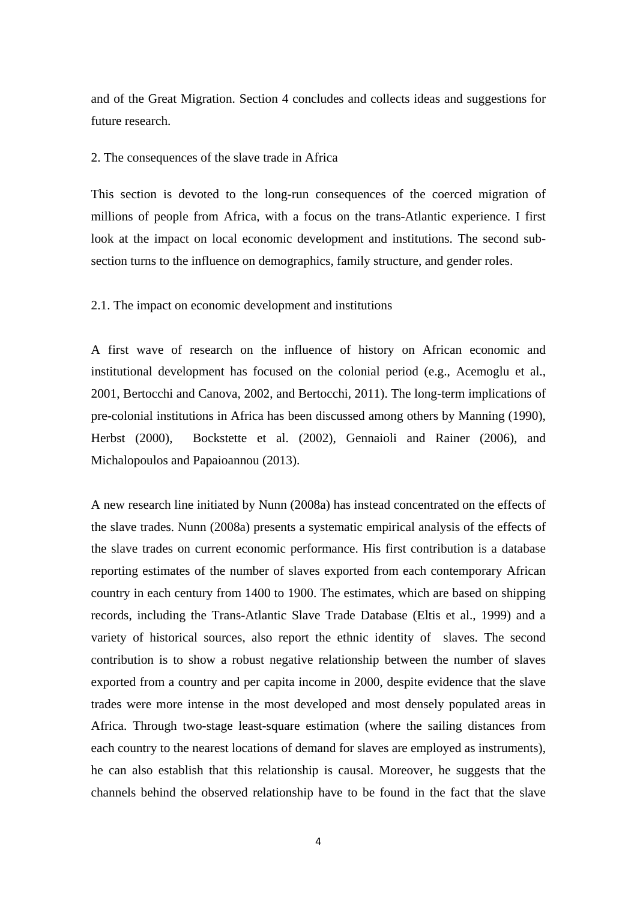and of the Great Migration. Section 4 concludes and collects ideas and suggestions for future research.

#### 2. The consequences of the slave trade in Africa

This section is devoted to the long-run consequences of the coerced migration of millions of people from Africa, with a focus on the trans-Atlantic experience. I first look at the impact on local economic development and institutions. The second subsection turns to the influence on demographics, family structure, and gender roles.

#### 2.1. The impact on economic development and institutions

A first wave of research on the influence of history on African economic and institutional development has focused on the colonial period (e.g., Acemoglu et al., 2001, Bertocchi and Canova, 2002, and Bertocchi, 2011). The long-term implications of pre-colonial institutions in Africa has been discussed among others by Manning (1990), Herbst (2000), Bockstette et al. (2002), Gennaioli and Rainer (2006), and Michalopoulos and Papaioannou (2013).

A new research line initiated by Nunn (2008a) has instead concentrated on the effects of the slave trades. Nunn (2008a) presents a systematic empirical analysis of the effects of the slave trades on current economic performance. His first contribution is a database reporting estimates of the number of slaves exported from each contemporary African country in each century from 1400 to 1900. The estimates, which are based on shipping records, including the Trans-Atlantic Slave Trade Database (Eltis et al., 1999) and a variety of historical sources, also report the ethnic identity of slaves. The second contribution is to show a robust negative relationship between the number of slaves exported from a country and per capita income in 2000, despite evidence that the slave trades were more intense in the most developed and most densely populated areas in Africa. Through two-stage least-square estimation (where the sailing distances from each country to the nearest locations of demand for slaves are employed as instruments), he can also establish that this relationship is causal. Moreover, he suggests that the channels behind the observed relationship have to be found in the fact that the slave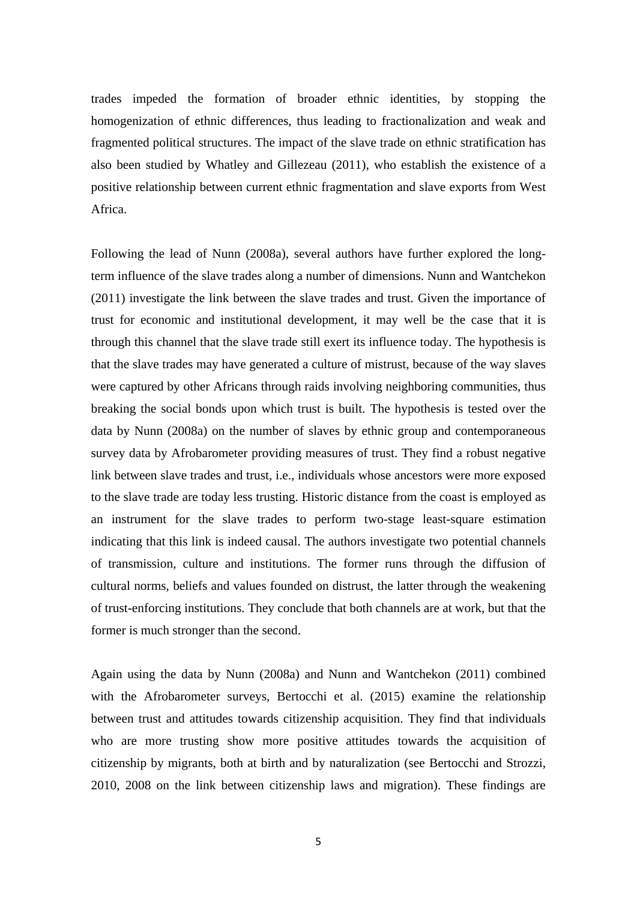trades impeded the formation of broader ethnic identities, by stopping the homogenization of ethnic differences, thus leading to fractionalization and weak and fragmented political structures. The impact of the slave trade on ethnic stratification has also been studied by Whatley and Gillezeau (2011), who establish the existence of a positive relationship between current ethnic fragmentation and slave exports from West Africa.

Following the lead of Nunn (2008a), several authors have further explored the longterm influence of the slave trades along a number of dimensions. Nunn and Wantchekon (2011) investigate the link between the slave trades and trust. Given the importance of trust for economic and institutional development, it may well be the case that it is through this channel that the slave trade still exert its influence today. The hypothesis is that the slave trades may have generated a culture of mistrust, because of the way slaves were captured by other Africans through raids involving neighboring communities, thus breaking the social bonds upon which trust is built. The hypothesis is tested over the data by Nunn (2008a) on the number of slaves by ethnic group and contemporaneous survey data by Afrobarometer providing measures of trust. They find a robust negative link between slave trades and trust, i.e., individuals whose ancestors were more exposed to the slave trade are today less trusting. Historic distance from the coast is employed as an instrument for the slave trades to perform two-stage least-square estimation indicating that this link is indeed causal. The authors investigate two potential channels of transmission, culture and institutions. The former runs through the diffusion of cultural norms, beliefs and values founded on distrust, the latter through the weakening of trust-enforcing institutions. They conclude that both channels are at work, but that the former is much stronger than the second.

Again using the data by Nunn (2008a) and Nunn and Wantchekon (2011) combined with the Afrobarometer surveys, Bertocchi et al. (2015) examine the relationship between trust and attitudes towards citizenship acquisition. They find that individuals who are more trusting show more positive attitudes towards the acquisition of citizenship by migrants, both at birth and by naturalization (see Bertocchi and Strozzi, 2010, 2008 on the link between citizenship laws and migration). These findings are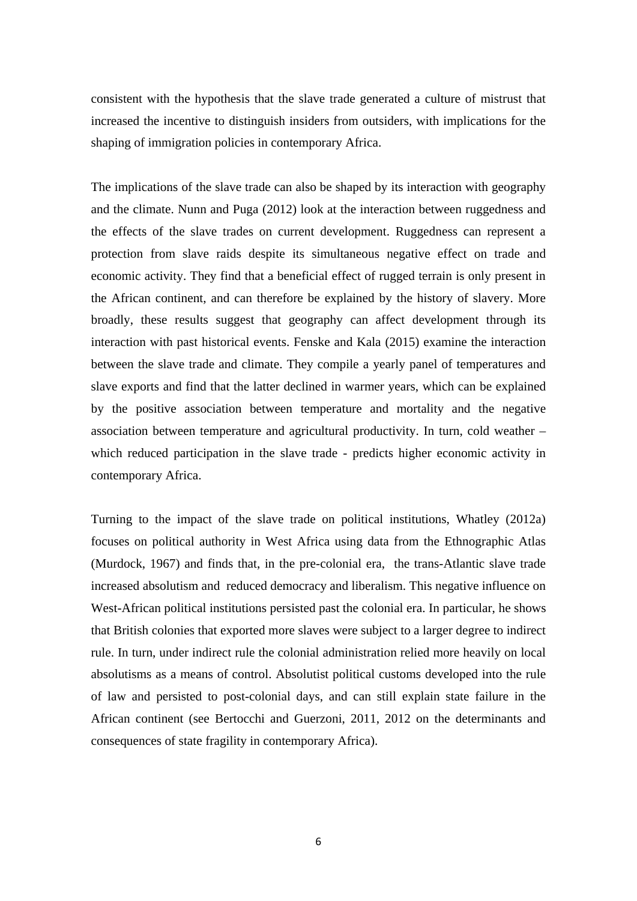consistent with the hypothesis that the slave trade generated a culture of mistrust that increased the incentive to distinguish insiders from outsiders, with implications for the shaping of immigration policies in contemporary Africa.

The implications of the slave trade can also be shaped by its interaction with geography and the climate. Nunn and Puga (2012) look at the interaction between ruggedness and the effects of the slave trades on current development. Ruggedness can represent a protection from slave raids despite its simultaneous negative effect on trade and economic activity. They find that a beneficial effect of rugged terrain is only present in the African continent, and can therefore be explained by the history of slavery. More broadly, these results suggest that geography can affect development through its interaction with past historical events. Fenske and Kala (2015) examine the interaction between the slave trade and climate. They compile a yearly panel of temperatures and slave exports and find that the latter declined in warmer years, which can be explained by the positive association between temperature and mortality and the negative association between temperature and agricultural productivity. In turn, cold weather – which reduced participation in the slave trade - predicts higher economic activity in contemporary Africa.

Turning to the impact of the slave trade on political institutions, Whatley (2012a) focuses on political authority in West Africa using data from the Ethnographic Atlas (Murdock, 1967) and finds that, in the pre-colonial era, the trans-Atlantic slave trade increased absolutism and reduced democracy and liberalism. This negative influence on West-African political institutions persisted past the colonial era. In particular, he shows that British colonies that exported more slaves were subject to a larger degree to indirect rule. In turn, under indirect rule the colonial administration relied more heavily on local absolutisms as a means of control. Absolutist political customs developed into the rule of law and persisted to post-colonial days, and can still explain state failure in the African continent (see Bertocchi and Guerzoni, 2011, 2012 on the determinants and consequences of state fragility in contemporary Africa).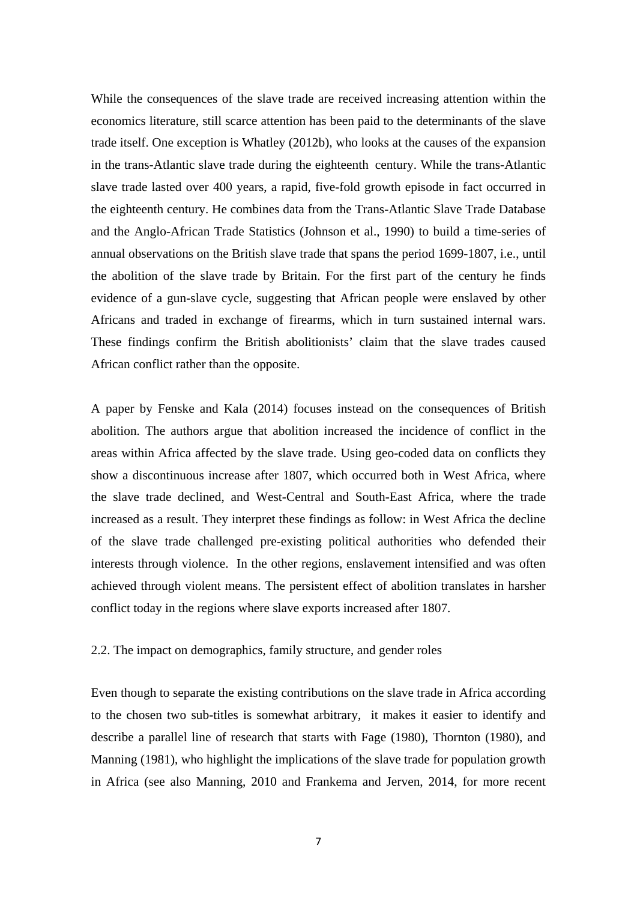While the consequences of the slave trade are received increasing attention within the economics literature, still scarce attention has been paid to the determinants of the slave trade itself. One exception is Whatley (2012b), who looks at the causes of the expansion in the trans-Atlantic slave trade during the eighteenth century. While the trans-Atlantic slave trade lasted over 400 years, a rapid, five-fold growth episode in fact occurred in the eighteenth century. He combines data from the Trans-Atlantic Slave Trade Database and the Anglo-African Trade Statistics (Johnson et al., 1990) to build a time-series of annual observations on the British slave trade that spans the period 1699-1807, i.e., until the abolition of the slave trade by Britain. For the first part of the century he finds evidence of a gun-slave cycle, suggesting that African people were enslaved by other Africans and traded in exchange of firearms, which in turn sustained internal wars. These findings confirm the British abolitionists' claim that the slave trades caused African conflict rather than the opposite.

A paper by Fenske and Kala (2014) focuses instead on the consequences of British abolition. The authors argue that abolition increased the incidence of conflict in the areas within Africa affected by the slave trade. Using geo-coded data on conflicts they show a discontinuous increase after 1807, which occurred both in West Africa, where the slave trade declined, and West-Central and South-East Africa, where the trade increased as a result. They interpret these findings as follow: in West Africa the decline of the slave trade challenged pre-existing political authorities who defended their interests through violence. In the other regions, enslavement intensified and was often achieved through violent means. The persistent effect of abolition translates in harsher conflict today in the regions where slave exports increased after 1807.

#### 2.2. The impact on demographics, family structure, and gender roles

Even though to separate the existing contributions on the slave trade in Africa according to the chosen two sub-titles is somewhat arbitrary, it makes it easier to identify and describe a parallel line of research that starts with Fage (1980), Thornton (1980), and Manning (1981), who highlight the implications of the slave trade for population growth in Africa (see also Manning, 2010 and Frankema and Jerven, 2014, for more recent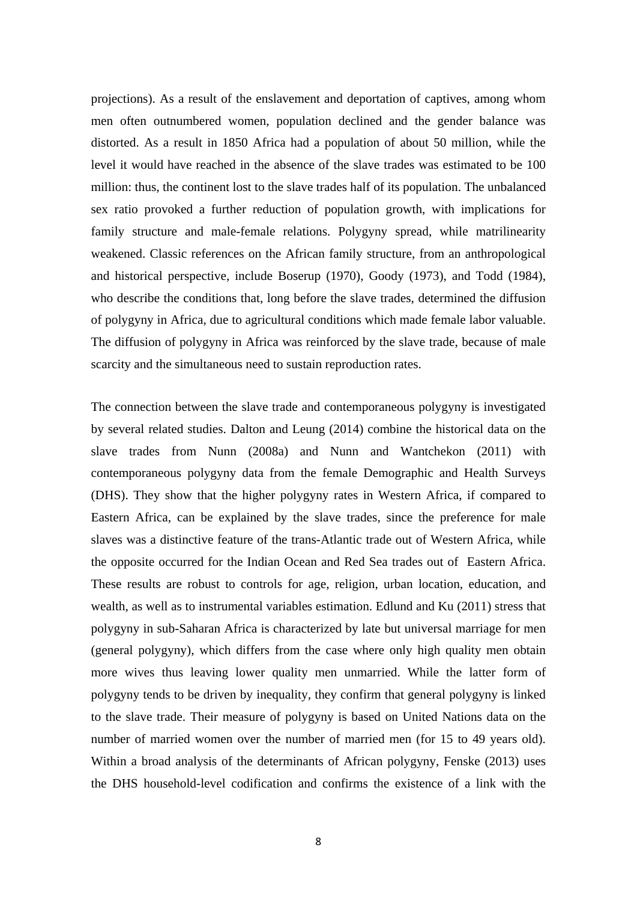projections). As a result of the enslavement and deportation of captives, among whom men often outnumbered women, population declined and the gender balance was distorted. As a result in 1850 Africa had a population of about 50 million, while the level it would have reached in the absence of the slave trades was estimated to be 100 million: thus, the continent lost to the slave trades half of its population. The unbalanced sex ratio provoked a further reduction of population growth, with implications for family structure and male-female relations. Polygyny spread, while matrilinearity weakened. Classic references on the African family structure, from an anthropological and historical perspective, include Boserup (1970), Goody (1973), and Todd (1984), who describe the conditions that, long before the slave trades, determined the diffusion of polygyny in Africa, due to agricultural conditions which made female labor valuable. The diffusion of polygyny in Africa was reinforced by the slave trade, because of male scarcity and the simultaneous need to sustain reproduction rates.

The connection between the slave trade and contemporaneous polygyny is investigated by several related studies. Dalton and Leung (2014) combine the historical data on the slave trades from Nunn (2008a) and Nunn and Wantchekon (2011) with contemporaneous polygyny data from the female Demographic and Health Surveys (DHS). They show that the higher polygyny rates in Western Africa, if compared to Eastern Africa, can be explained by the slave trades, since the preference for male slaves was a distinctive feature of the trans-Atlantic trade out of Western Africa, while the opposite occurred for the Indian Ocean and Red Sea trades out of Eastern Africa. These results are robust to controls for age, religion, urban location, education, and wealth, as well as to instrumental variables estimation. Edlund and Ku (2011) stress that polygyny in sub-Saharan Africa is characterized by late but universal marriage for men (general polygyny), which differs from the case where only high quality men obtain more wives thus leaving lower quality men unmarried. While the latter form of polygyny tends to be driven by inequality, they confirm that general polygyny is linked to the slave trade. Their measure of polygyny is based on United Nations data on the number of married women over the number of married men (for 15 to 49 years old). Within a broad analysis of the determinants of African polygyny, Fenske (2013) uses the DHS household-level codification and confirms the existence of a link with the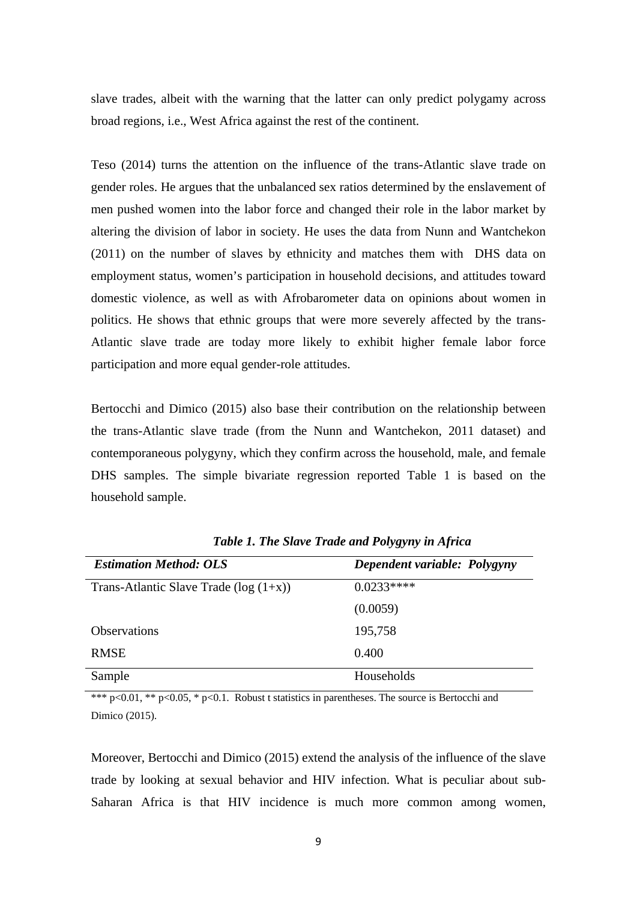slave trades, albeit with the warning that the latter can only predict polygamy across broad regions, i.e., West Africa against the rest of the continent.

Teso (2014) turns the attention on the influence of the trans-Atlantic slave trade on gender roles. He argues that the unbalanced sex ratios determined by the enslavement of men pushed women into the labor force and changed their role in the labor market by altering the division of labor in society. He uses the data from Nunn and Wantchekon (2011) on the number of slaves by ethnicity and matches them with DHS data on employment status, women's participation in household decisions, and attitudes toward domestic violence, as well as with Afrobarometer data on opinions about women in politics. He shows that ethnic groups that were more severely affected by the trans-Atlantic slave trade are today more likely to exhibit higher female labor force participation and more equal gender-role attitudes.

Bertocchi and Dimico (2015) also base their contribution on the relationship between the trans-Atlantic slave trade (from the Nunn and Wantchekon, 2011 dataset) and contemporaneous polygyny, which they confirm across the household, male, and female DHS samples. The simple bivariate regression reported Table 1 is based on the household sample.

| <b>Estimation Method: OLS</b>             | Dependent variable: Polygyny |
|-------------------------------------------|------------------------------|
| Trans-Atlantic Slave Trade ( $log(1+x)$ ) | $0.0233***$                  |
|                                           | (0.0059)                     |
| <b>Observations</b>                       | 195,758                      |
| <b>RMSE</b>                               | 0.400                        |
| Sample                                    | Households                   |

*Table 1. The Slave Trade and Polygyny in Africa* 

\*\*\* p<0.01, \*\* p<0.05, \* p<0.1. Robust t statistics in parentheses. The source is Bertocchi and Dimico (2015).

Moreover, Bertocchi and Dimico (2015) extend the analysis of the influence of the slave trade by looking at sexual behavior and HIV infection. What is peculiar about sub-Saharan Africa is that HIV incidence is much more common among women,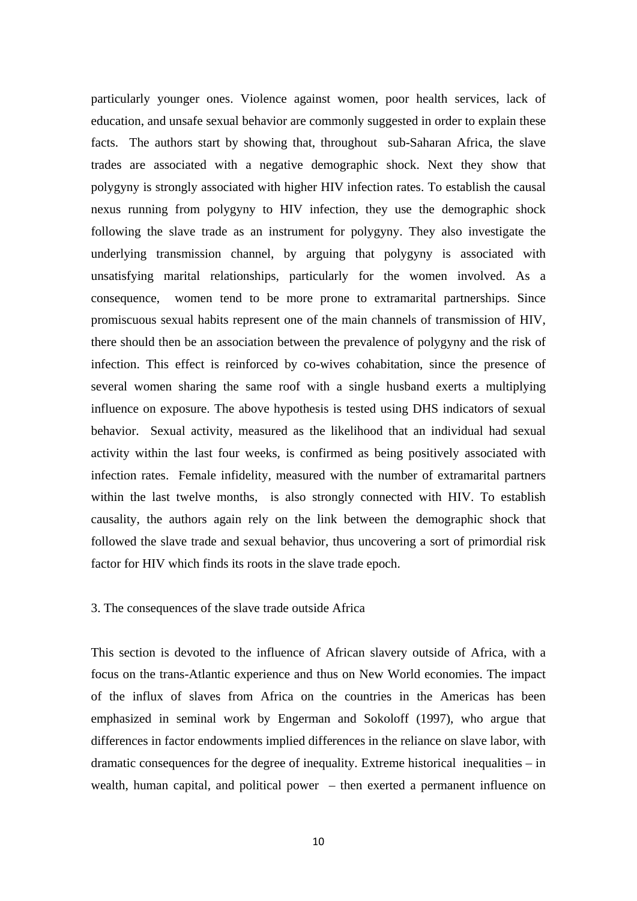particularly younger ones. Violence against women, poor health services, lack of education, and unsafe sexual behavior are commonly suggested in order to explain these facts. The authors start by showing that, throughout sub-Saharan Africa, the slave trades are associated with a negative demographic shock. Next they show that polygyny is strongly associated with higher HIV infection rates. To establish the causal nexus running from polygyny to HIV infection, they use the demographic shock following the slave trade as an instrument for polygyny. They also investigate the underlying transmission channel, by arguing that polygyny is associated with unsatisfying marital relationships, particularly for the women involved. As a consequence, women tend to be more prone to extramarital partnerships. Since promiscuous sexual habits represent one of the main channels of transmission of HIV, there should then be an association between the prevalence of polygyny and the risk of infection. This effect is reinforced by co-wives cohabitation, since the presence of several women sharing the same roof with a single husband exerts a multiplying influence on exposure. The above hypothesis is tested using DHS indicators of sexual behavior. Sexual activity, measured as the likelihood that an individual had sexual activity within the last four weeks, is confirmed as being positively associated with infection rates. Female infidelity, measured with the number of extramarital partners within the last twelve months, is also strongly connected with HIV. To establish causality, the authors again rely on the link between the demographic shock that followed the slave trade and sexual behavior, thus uncovering a sort of primordial risk factor for HIV which finds its roots in the slave trade epoch.

#### 3. The consequences of the slave trade outside Africa

This section is devoted to the influence of African slavery outside of Africa, with a focus on the trans-Atlantic experience and thus on New World economies. The impact of the influx of slaves from Africa on the countries in the Americas has been emphasized in seminal work by Engerman and Sokoloff (1997), who argue that differences in factor endowments implied differences in the reliance on slave labor, with dramatic consequences for the degree of inequality. Extreme historical inequalities – in wealth, human capital, and political power – then exerted a permanent influence on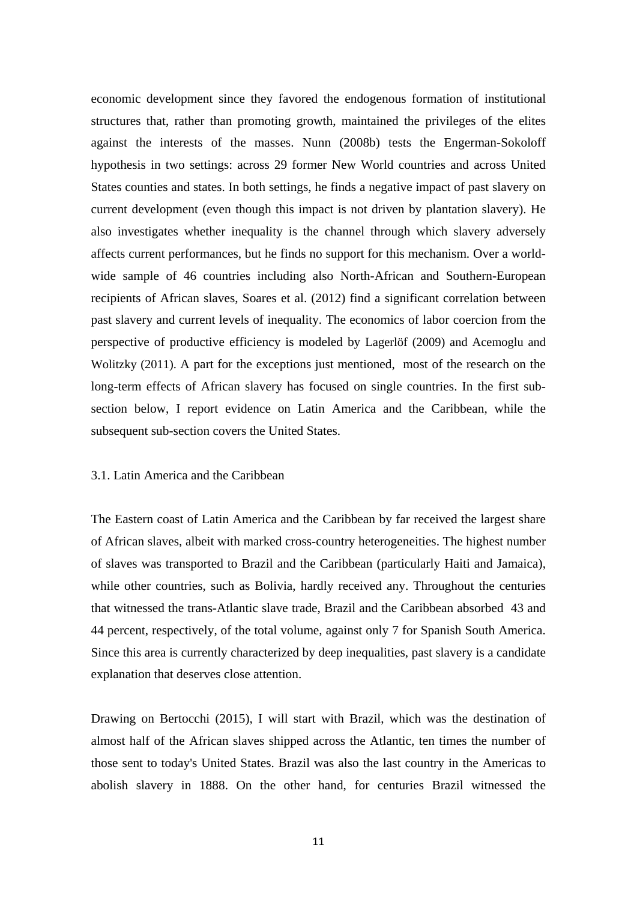economic development since they favored the endogenous formation of institutional structures that, rather than promoting growth, maintained the privileges of the elites against the interests of the masses. Nunn (2008b) tests the Engerman-Sokoloff hypothesis in two settings: across 29 former New World countries and across United States counties and states. In both settings, he finds a negative impact of past slavery on current development (even though this impact is not driven by plantation slavery). He also investigates whether inequality is the channel through which slavery adversely affects current performances, but he finds no support for this mechanism. Over a worldwide sample of 46 countries including also North-African and Southern-European recipients of African slaves, Soares et al. (2012) find a significant correlation between past slavery and current levels of inequality. The economics of labor coercion from the perspective of productive efficiency is modeled by Lagerlöf (2009) and Acemoglu and Wolitzky (2011). A part for the exceptions just mentioned, most of the research on the long-term effects of African slavery has focused on single countries. In the first subsection below, I report evidence on Latin America and the Caribbean, while the subsequent sub-section covers the United States.

#### 3.1. Latin America and the Caribbean

The Eastern coast of Latin America and the Caribbean by far received the largest share of African slaves, albeit with marked cross-country heterogeneities. The highest number of slaves was transported to Brazil and the Caribbean (particularly Haiti and Jamaica), while other countries, such as Bolivia, hardly received any. Throughout the centuries that witnessed the trans-Atlantic slave trade, Brazil and the Caribbean absorbed 43 and 44 percent, respectively, of the total volume, against only 7 for Spanish South America. Since this area is currently characterized by deep inequalities, past slavery is a candidate explanation that deserves close attention.

Drawing on Bertocchi (2015), I will start with Brazil, which was the destination of almost half of the African slaves shipped across the Atlantic, ten times the number of those sent to today's United States. Brazil was also the last country in the Americas to abolish slavery in 1888. On the other hand, for centuries Brazil witnessed the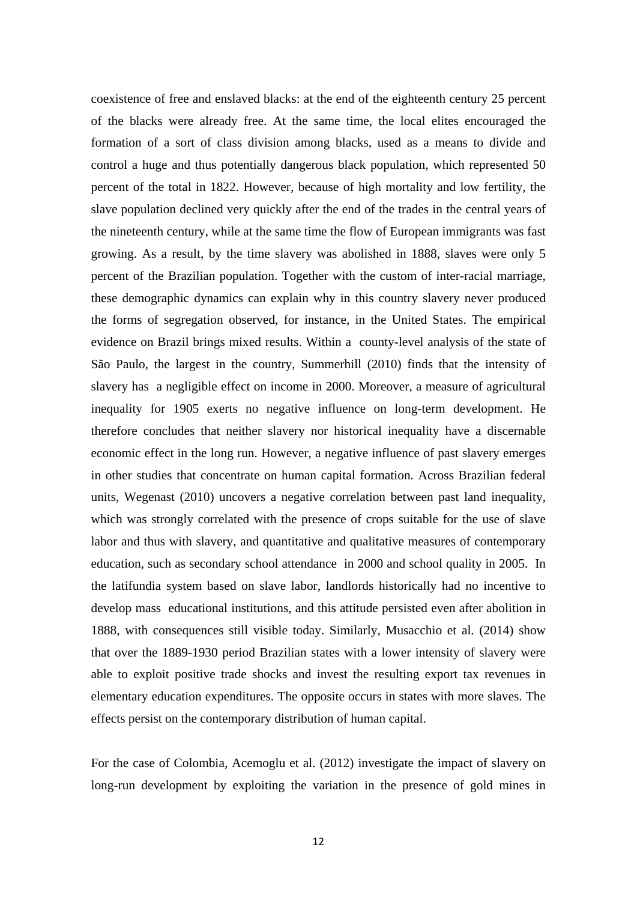coexistence of free and enslaved blacks: at the end of the eighteenth century 25 percent of the blacks were already free. At the same time, the local elites encouraged the formation of a sort of class division among blacks, used as a means to divide and control a huge and thus potentially dangerous black population, which represented 50 percent of the total in 1822. However, because of high mortality and low fertility, the slave population declined very quickly after the end of the trades in the central years of the nineteenth century, while at the same time the flow of European immigrants was fast growing. As a result, by the time slavery was abolished in 1888, slaves were only 5 percent of the Brazilian population. Together with the custom of inter-racial marriage, these demographic dynamics can explain why in this country slavery never produced the forms of segregation observed, for instance, in the United States. The empirical evidence on Brazil brings mixed results. Within a county-level analysis of the state of São Paulo, the largest in the country, Summerhill (2010) finds that the intensity of slavery has a negligible effect on income in 2000. Moreover, a measure of agricultural inequality for 1905 exerts no negative influence on long-term development. He therefore concludes that neither slavery nor historical inequality have a discernable economic effect in the long run. However, a negative influence of past slavery emerges in other studies that concentrate on human capital formation. Across Brazilian federal units, Wegenast (2010) uncovers a negative correlation between past land inequality, which was strongly correlated with the presence of crops suitable for the use of slave labor and thus with slavery, and quantitative and qualitative measures of contemporary education, such as secondary school attendance in 2000 and school quality in 2005. In the latifundia system based on slave labor, landlords historically had no incentive to develop mass educational institutions, and this attitude persisted even after abolition in 1888, with consequences still visible today. Similarly, Musacchio et al. (2014) show that over the 1889-1930 period Brazilian states with a lower intensity of slavery were able to exploit positive trade shocks and invest the resulting export tax revenues in elementary education expenditures. The opposite occurs in states with more slaves. The effects persist on the contemporary distribution of human capital.

For the case of Colombia, Acemoglu et al. (2012) investigate the impact of slavery on long-run development by exploiting the variation in the presence of gold mines in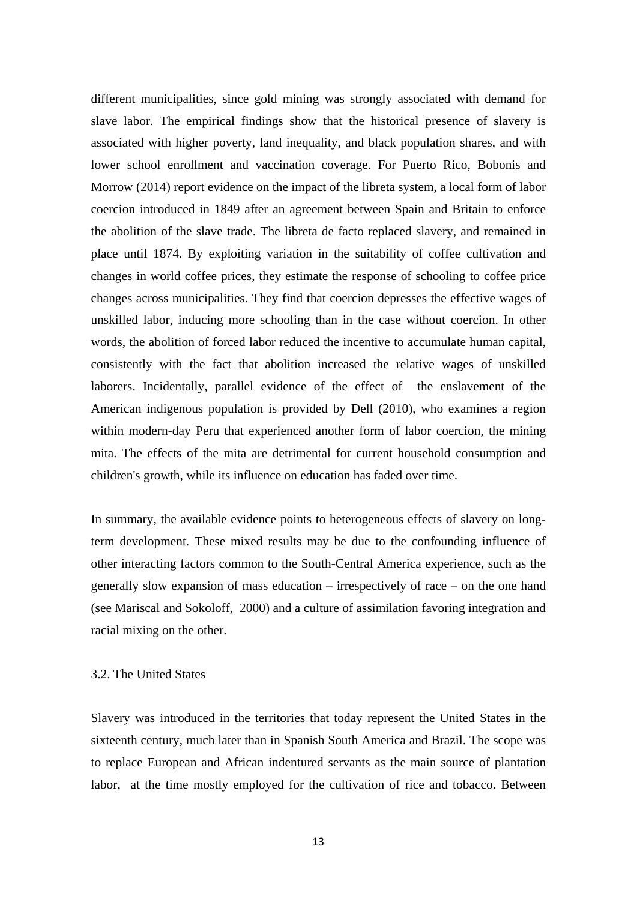different municipalities, since gold mining was strongly associated with demand for slave labor. The empirical findings show that the historical presence of slavery is associated with higher poverty, land inequality, and black population shares, and with lower school enrollment and vaccination coverage. For Puerto Rico, Bobonis and Morrow (2014) report evidence on the impact of the libreta system, a local form of labor coercion introduced in 1849 after an agreement between Spain and Britain to enforce the abolition of the slave trade. The libreta de facto replaced slavery, and remained in place until 1874. By exploiting variation in the suitability of coffee cultivation and changes in world coffee prices, they estimate the response of schooling to coffee price changes across municipalities. They find that coercion depresses the effective wages of unskilled labor, inducing more schooling than in the case without coercion. In other words, the abolition of forced labor reduced the incentive to accumulate human capital, consistently with the fact that abolition increased the relative wages of unskilled laborers. Incidentally, parallel evidence of the effect of the enslavement of the American indigenous population is provided by Dell (2010), who examines a region within modern-day Peru that experienced another form of labor coercion, the mining mita. The effects of the mita are detrimental for current household consumption and children's growth, while its influence on education has faded over time.

In summary, the available evidence points to heterogeneous effects of slavery on longterm development. These mixed results may be due to the confounding influence of other interacting factors common to the South-Central America experience, such as the generally slow expansion of mass education – irrespectively of race – on the one hand (see Mariscal and Sokoloff, 2000) and a culture of assimilation favoring integration and racial mixing on the other.

#### 3.2. The United States

Slavery was introduced in the territories that today represent the United States in the sixteenth century, much later than in Spanish South America and Brazil. The scope was to replace European and African indentured servants as the main source of plantation labor, at the time mostly employed for the cultivation of rice and tobacco. Between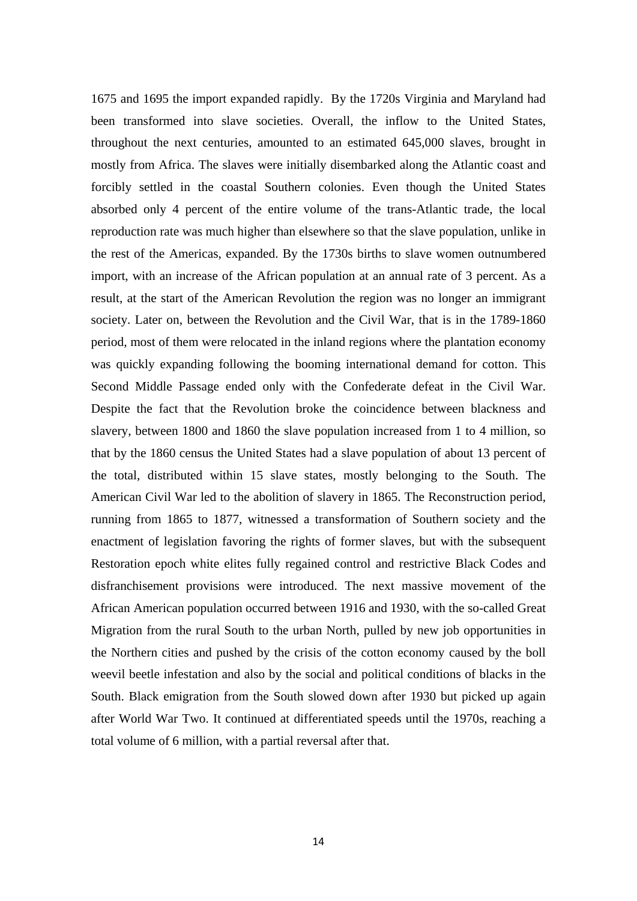1675 and 1695 the import expanded rapidly. By the 1720s Virginia and Maryland had been transformed into slave societies. Overall, the inflow to the United States, throughout the next centuries, amounted to an estimated 645,000 slaves, brought in mostly from Africa. The slaves were initially disembarked along the Atlantic coast and forcibly settled in the coastal Southern colonies. Even though the United States absorbed only 4 percent of the entire volume of the trans-Atlantic trade, the local reproduction rate was much higher than elsewhere so that the slave population, unlike in the rest of the Americas, expanded. By the 1730s births to slave women outnumbered import, with an increase of the African population at an annual rate of 3 percent. As a result, at the start of the American Revolution the region was no longer an immigrant society. Later on, between the Revolution and the Civil War, that is in the 1789-1860 period, most of them were relocated in the inland regions where the plantation economy was quickly expanding following the booming international demand for cotton. This Second Middle Passage ended only with the Confederate defeat in the Civil War. Despite the fact that the Revolution broke the coincidence between blackness and slavery, between 1800 and 1860 the slave population increased from 1 to 4 million, so that by the 1860 census the United States had a slave population of about 13 percent of the total, distributed within 15 slave states, mostly belonging to the South. The American Civil War led to the abolition of slavery in 1865. The Reconstruction period, running from 1865 to 1877, witnessed a transformation of Southern society and the enactment of legislation favoring the rights of former slaves, but with the subsequent Restoration epoch white elites fully regained control and restrictive Black Codes and disfranchisement provisions were introduced. The next massive movement of the African American population occurred between 1916 and 1930, with the so-called Great Migration from the rural South to the urban North, pulled by new job opportunities in the Northern cities and pushed by the crisis of the cotton economy caused by the boll weevil beetle infestation and also by the social and political conditions of blacks in the South. Black emigration from the South slowed down after 1930 but picked up again after World War Two. It continued at differentiated speeds until the 1970s, reaching a total volume of 6 million, with a partial reversal after that.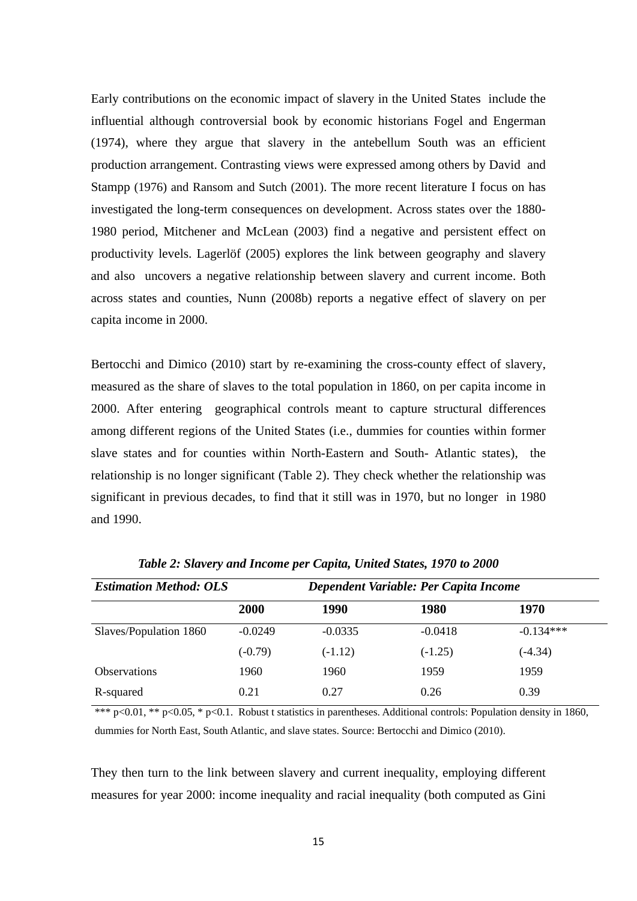Early contributions on the economic impact of slavery in the United States include the influential although controversial book by economic historians Fogel and Engerman (1974), where they argue that slavery in the antebellum South was an efficient production arrangement. Contrasting views were expressed among others by David and Stampp (1976) and Ransom and Sutch (2001). The more recent literature I focus on has investigated the long-term consequences on development. Across states over the 1880- 1980 period, Mitchener and McLean (2003) find a negative and persistent effect on productivity levels. Lagerlöf (2005) explores the link between geography and slavery and also uncovers a negative relationship between slavery and current income. Both across states and counties, Nunn (2008b) reports a negative effect of slavery on per capita income in 2000.

Bertocchi and Dimico (2010) start by re-examining the cross-county effect of slavery, measured as the share of slaves to the total population in 1860, on per capita income in 2000. After entering geographical controls meant to capture structural differences among different regions of the United States (i.e., dummies for counties within former slave states and for counties within North-Eastern and South- Atlantic states), the relationship is no longer significant (Table 2). They check whether the relationship was significant in previous decades, to find that it still was in 1970, but no longer in 1980 and 1990.

| <b>Estimation Method: OLS</b> |           | Dependent Variable: Per Capita Income |           |             |
|-------------------------------|-----------|---------------------------------------|-----------|-------------|
|                               | 2000      | 1990                                  | 1980      | 1970        |
| Slaves/Population 1860        | $-0.0249$ | $-0.0335$                             | $-0.0418$ | $-0.134***$ |
|                               | $(-0.79)$ | $(-1.12)$                             | $(-1.25)$ | $(-4.34)$   |
| <b>Observations</b>           | 1960      | 1960                                  | 1959      | 1959        |
| R-squared                     | 0.21      | 0.27                                  | 0.26      | 0.39        |

*Table 2: Slavery and Income per Capita, United States, 1970 to 2000* 

\*\*\* p<0.01, \*\* p<0.05, \* p<0.1. Robust t statistics in parentheses. Additional controls: Population density in 1860, dummies for North East, South Atlantic, and slave states. Source: Bertocchi and Dimico (2010).

They then turn to the link between slavery and current inequality, employing different measures for year 2000: income inequality and racial inequality (both computed as Gini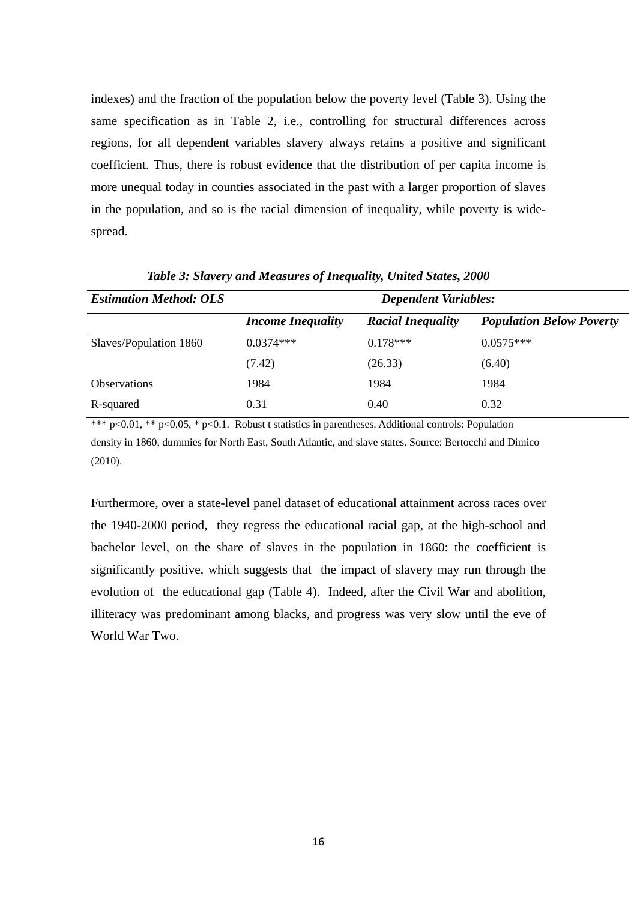indexes) and the fraction of the population below the poverty level (Table 3). Using the same specification as in Table 2, i.e., controlling for structural differences across regions, for all dependent variables slavery always retains a positive and significant coefficient. Thus, there is robust evidence that the distribution of per capita income is more unequal today in counties associated in the past with a larger proportion of slaves in the population, and so is the racial dimension of inequality, while poverty is widespread.

| <b>Estimation Method: OLS</b> | <b>Dependent Variables:</b> |                          |                                 |  |
|-------------------------------|-----------------------------|--------------------------|---------------------------------|--|
|                               | <b>Income Inequality</b>    | <b>Racial Inequality</b> | <b>Population Below Poverty</b> |  |
| Slaves/Population 1860        | $0.0374***$                 | $0.178***$               | $0.0575***$                     |  |
|                               | (7.42)                      | (26.33)                  | (6.40)                          |  |
| <b>Observations</b>           | 1984                        | 1984                     | 1984                            |  |
| R-squared                     | 0.31                        | 0.40                     | 0.32                            |  |

*Table 3: Slavery and Measures of Inequality, United States, 2000* 

\*\*\* p<0.01, \*\* p<0.05, \* p<0.1. Robust t statistics in parentheses. Additional controls: Population density in 1860, dummies for North East, South Atlantic, and slave states. Source: Bertocchi and Dimico (2010).

Furthermore, over a state-level panel dataset of educational attainment across races over the 1940-2000 period, they regress the educational racial gap, at the high-school and bachelor level, on the share of slaves in the population in 1860: the coefficient is significantly positive, which suggests that the impact of slavery may run through the evolution of the educational gap (Table 4). Indeed, after the Civil War and abolition, illiteracy was predominant among blacks, and progress was very slow until the eve of World War Two.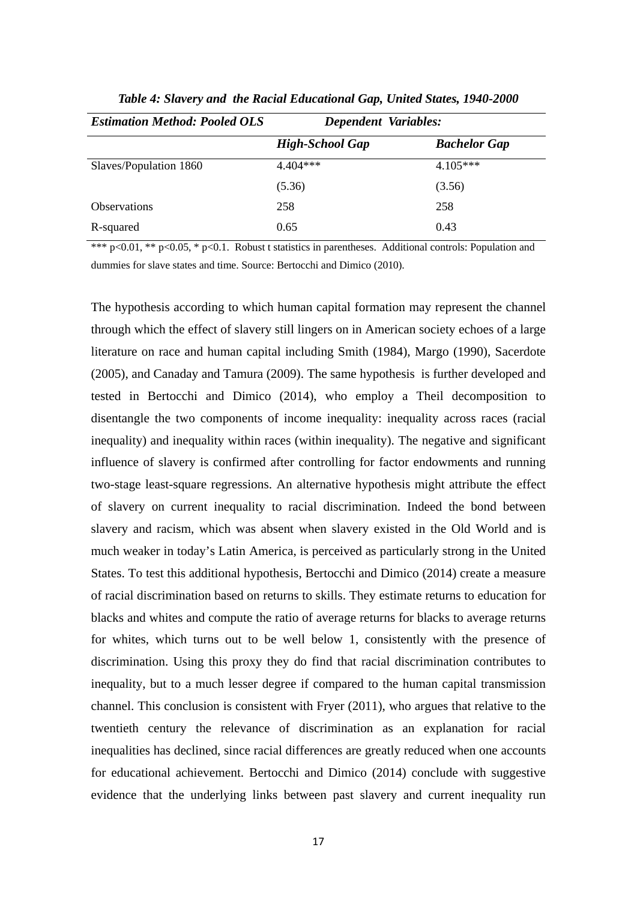| <b>Estimation Method: Pooled OLS</b> | Dependent Variables:   |                     |
|--------------------------------------|------------------------|---------------------|
|                                      | <b>High-School Gap</b> | <b>Bachelor Gap</b> |
| Slaves/Population 1860               | $4.404***$             | $4.105***$          |
|                                      | (5.36)                 | (3.56)              |
| Observations                         | 258                    | 258                 |
| R-squared                            | 0.65                   | 0.43                |

*Table 4: Slavery and the Racial Educational Gap, United States, 1940-2000* 

\*\*\* p<0.01, \*\* p<0.05, \* p<0.1. Robust t statistics in parentheses. Additional controls: Population and dummies for slave states and time. Source: Bertocchi and Dimico (2010).

The hypothesis according to which human capital formation may represent the channel through which the effect of slavery still lingers on in American society echoes of a large literature on race and human capital including Smith (1984), Margo (1990), Sacerdote (2005), and Canaday and Tamura (2009). The same hypothesis is further developed and tested in Bertocchi and Dimico (2014), who employ a Theil decomposition to disentangle the two components of income inequality: inequality across races (racial inequality) and inequality within races (within inequality). The negative and significant influence of slavery is confirmed after controlling for factor endowments and running two-stage least-square regressions. An alternative hypothesis might attribute the effect of slavery on current inequality to racial discrimination. Indeed the bond between slavery and racism, which was absent when slavery existed in the Old World and is much weaker in today's Latin America, is perceived as particularly strong in the United States. To test this additional hypothesis, Bertocchi and Dimico (2014) create a measure of racial discrimination based on returns to skills. They estimate returns to education for blacks and whites and compute the ratio of average returns for blacks to average returns for whites, which turns out to be well below 1, consistently with the presence of discrimination. Using this proxy they do find that racial discrimination contributes to inequality, but to a much lesser degree if compared to the human capital transmission channel. This conclusion is consistent with Fryer (2011), who argues that relative to the twentieth century the relevance of discrimination as an explanation for racial inequalities has declined, since racial differences are greatly reduced when one accounts for educational achievement. Bertocchi and Dimico (2014) conclude with suggestive evidence that the underlying links between past slavery and current inequality run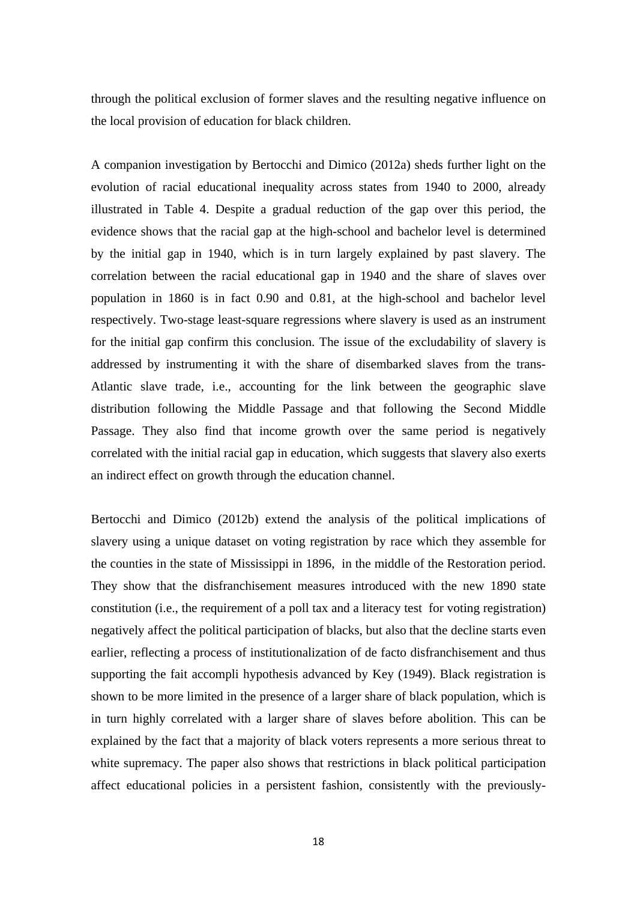through the political exclusion of former slaves and the resulting negative influence on the local provision of education for black children.

A companion investigation by Bertocchi and Dimico (2012a) sheds further light on the evolution of racial educational inequality across states from 1940 to 2000, already illustrated in Table 4. Despite a gradual reduction of the gap over this period, the evidence shows that the racial gap at the high-school and bachelor level is determined by the initial gap in 1940, which is in turn largely explained by past slavery. The correlation between the racial educational gap in 1940 and the share of slaves over population in 1860 is in fact 0.90 and 0.81, at the high-school and bachelor level respectively. Two-stage least-square regressions where slavery is used as an instrument for the initial gap confirm this conclusion. The issue of the excludability of slavery is addressed by instrumenting it with the share of disembarked slaves from the trans-Atlantic slave trade, i.e., accounting for the link between the geographic slave distribution following the Middle Passage and that following the Second Middle Passage. They also find that income growth over the same period is negatively correlated with the initial racial gap in education, which suggests that slavery also exerts an indirect effect on growth through the education channel.

Bertocchi and Dimico (2012b) extend the analysis of the political implications of slavery using a unique dataset on voting registration by race which they assemble for the counties in the state of Mississippi in 1896, in the middle of the Restoration period. They show that the disfranchisement measures introduced with the new 1890 state constitution (i.e., the requirement of a poll tax and a literacy test for voting registration) negatively affect the political participation of blacks, but also that the decline starts even earlier, reflecting a process of institutionalization of de facto disfranchisement and thus supporting the fait accompli hypothesis advanced by Key (1949). Black registration is shown to be more limited in the presence of a larger share of black population, which is in turn highly correlated with a larger share of slaves before abolition. This can be explained by the fact that a majority of black voters represents a more serious threat to white supremacy. The paper also shows that restrictions in black political participation affect educational policies in a persistent fashion, consistently with the previously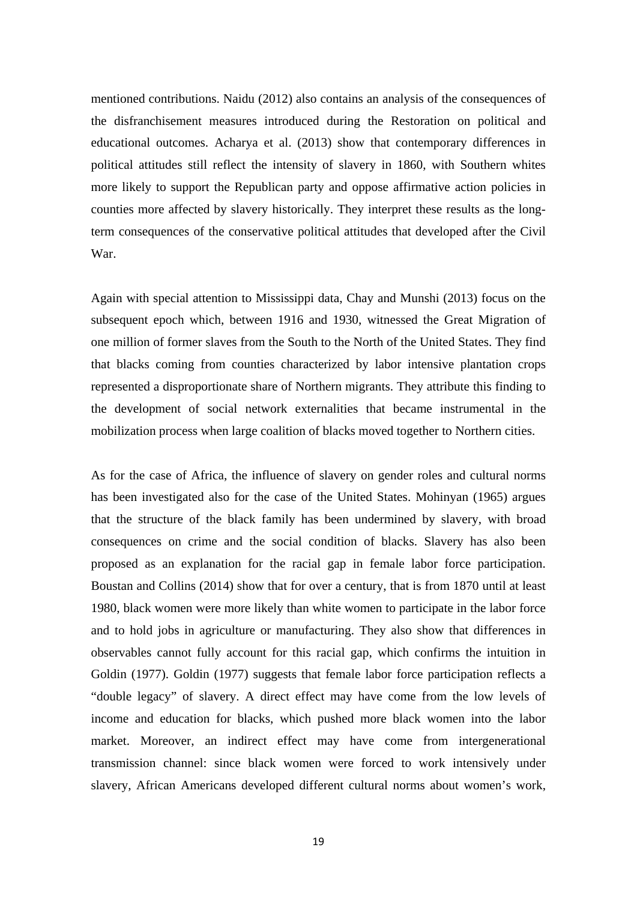mentioned contributions. Naidu (2012) also contains an analysis of the consequences of the disfranchisement measures introduced during the Restoration on political and educational outcomes. Acharya et al. (2013) show that contemporary differences in political attitudes still reflect the intensity of slavery in 1860, with Southern whites more likely to support the Republican party and oppose affirmative action policies in counties more affected by slavery historically. They interpret these results as the longterm consequences of the conservative political attitudes that developed after the Civil War.

Again with special attention to Mississippi data, Chay and Munshi (2013) focus on the subsequent epoch which, between 1916 and 1930, witnessed the Great Migration of one million of former slaves from the South to the North of the United States. They find that blacks coming from counties characterized by labor intensive plantation crops represented a disproportionate share of Northern migrants. They attribute this finding to the development of social network externalities that became instrumental in the mobilization process when large coalition of blacks moved together to Northern cities.

As for the case of Africa, the influence of slavery on gender roles and cultural norms has been investigated also for the case of the United States. Mohinyan (1965) argues that the structure of the black family has been undermined by slavery, with broad consequences on crime and the social condition of blacks. Slavery has also been proposed as an explanation for the racial gap in female labor force participation. Boustan and Collins (2014) show that for over a century, that is from 1870 until at least 1980, black women were more likely than white women to participate in the labor force and to hold jobs in agriculture or manufacturing. They also show that differences in observables cannot fully account for this racial gap, which confirms the intuition in Goldin (1977). Goldin (1977) suggests that female labor force participation reflects a "double legacy" of slavery. A direct effect may have come from the low levels of income and education for blacks, which pushed more black women into the labor market. Moreover, an indirect effect may have come from intergenerational transmission channel: since black women were forced to work intensively under slavery, African Americans developed different cultural norms about women's work,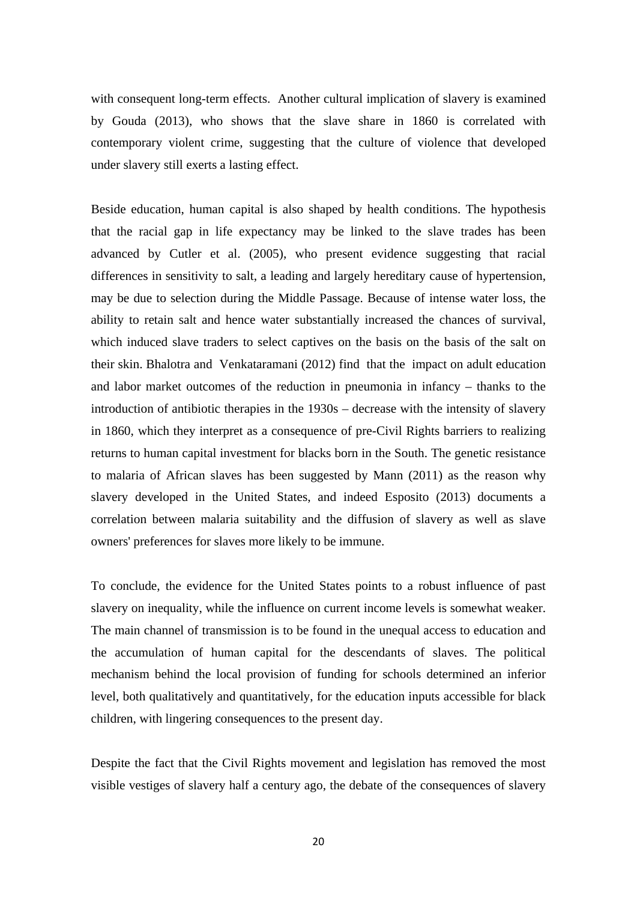with consequent long-term effects. Another cultural implication of slavery is examined by Gouda (2013), who shows that the slave share in 1860 is correlated with contemporary violent crime, suggesting that the culture of violence that developed under slavery still exerts a lasting effect.

Beside education, human capital is also shaped by health conditions. The hypothesis that the racial gap in life expectancy may be linked to the slave trades has been advanced by Cutler et al. (2005), who present evidence suggesting that racial differences in sensitivity to salt, a leading and largely hereditary cause of hypertension, may be due to selection during the Middle Passage. Because of intense water loss, the ability to retain salt and hence water substantially increased the chances of survival, which induced slave traders to select captives on the basis on the basis of the salt on their skin. Bhalotra and Venkataramani (2012) find that the impact on adult education and labor market outcomes of the reduction in pneumonia in infancy – thanks to the introduction of antibiotic therapies in the 1930s – decrease with the intensity of slavery in 1860, which they interpret as a consequence of pre-Civil Rights barriers to realizing returns to human capital investment for blacks born in the South. The genetic resistance to malaria of African slaves has been suggested by Mann (2011) as the reason why slavery developed in the United States, and indeed Esposito (2013) documents a correlation between malaria suitability and the diffusion of slavery as well as slave owners' preferences for slaves more likely to be immune.

To conclude, the evidence for the United States points to a robust influence of past slavery on inequality, while the influence on current income levels is somewhat weaker. The main channel of transmission is to be found in the unequal access to education and the accumulation of human capital for the descendants of slaves. The political mechanism behind the local provision of funding for schools determined an inferior level, both qualitatively and quantitatively, for the education inputs accessible for black children, with lingering consequences to the present day.

Despite the fact that the Civil Rights movement and legislation has removed the most visible vestiges of slavery half a century ago, the debate of the consequences of slavery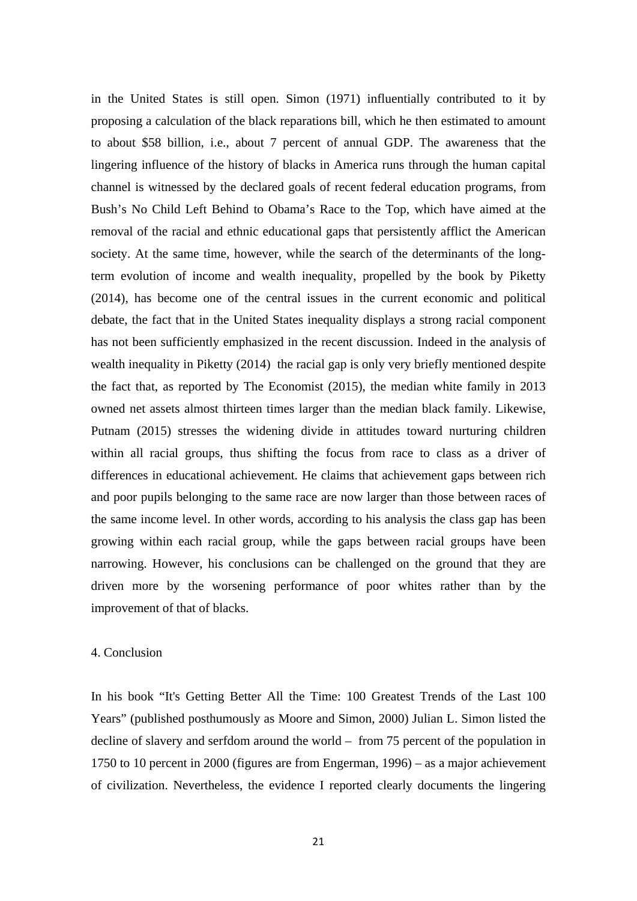in the United States is still open. Simon (1971) influentially contributed to it by proposing a calculation of the black reparations bill, which he then estimated to amount to about \$58 billion, i.e., about 7 percent of annual GDP. The awareness that the lingering influence of the history of blacks in America runs through the human capital channel is witnessed by the declared goals of recent federal education programs, from Bush's No Child Left Behind to Obama's Race to the Top, which have aimed at the removal of the racial and ethnic educational gaps that persistently afflict the American society. At the same time, however, while the search of the determinants of the longterm evolution of income and wealth inequality, propelled by the book by Piketty (2014), has become one of the central issues in the current economic and political debate, the fact that in the United States inequality displays a strong racial component has not been sufficiently emphasized in the recent discussion. Indeed in the analysis of wealth inequality in Piketty (2014) the racial gap is only very briefly mentioned despite the fact that, as reported by The Economist (2015), the median white family in 2013 owned net assets almost thirteen times larger than the median black family. Likewise, Putnam (2015) stresses the widening divide in attitudes toward nurturing children within all racial groups, thus shifting the focus from race to class as a driver of differences in educational achievement. He claims that achievement gaps between rich and poor pupils belonging to the same race are now larger than those between races of the same income level. In other words, according to his analysis the class gap has been growing within each racial group, while the gaps between racial groups have been narrowing. However, his conclusions can be challenged on the ground that they are driven more by the worsening performance of poor whites rather than by the improvement of that of blacks.

#### 4. Conclusion

In his book "It's Getting Better All the Time: 100 Greatest Trends of the Last 100 Years" (published posthumously as Moore and Simon, 2000) Julian L. Simon listed the decline of slavery and serfdom around the world – from 75 percent of the population in 1750 to 10 percent in 2000 (figures are from Engerman, 1996) – as a major achievement of civilization. Nevertheless, the evidence I reported clearly documents the lingering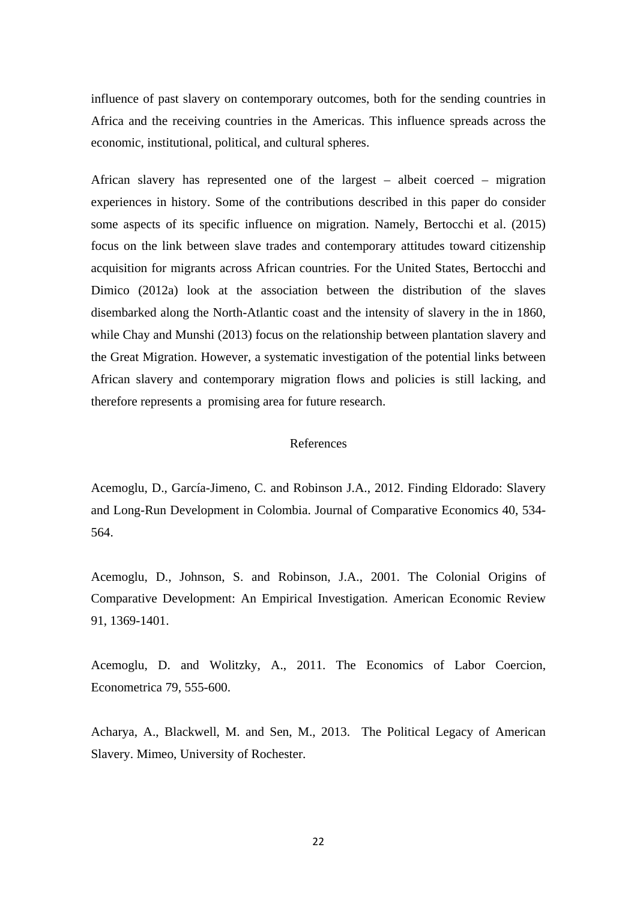influence of past slavery on contemporary outcomes, both for the sending countries in Africa and the receiving countries in the Americas. This influence spreads across the economic, institutional, political, and cultural spheres.

African slavery has represented one of the largest – albeit coerced – migration experiences in history. Some of the contributions described in this paper do consider some aspects of its specific influence on migration. Namely, Bertocchi et al. (2015) focus on the link between slave trades and contemporary attitudes toward citizenship acquisition for migrants across African countries. For the United States, Bertocchi and Dimico (2012a) look at the association between the distribution of the slaves disembarked along the North-Atlantic coast and the intensity of slavery in the in 1860, while Chay and Munshi (2013) focus on the relationship between plantation slavery and the Great Migration. However, a systematic investigation of the potential links between African slavery and contemporary migration flows and policies is still lacking, and therefore represents a promising area for future research.

#### References

Acemoglu, D., García-Jimeno, C. and Robinson J.A., 2012. Finding Eldorado: Slavery and Long-Run Development in Colombia. Journal of Comparative Economics 40, 534- 564.

Acemoglu, D., Johnson, S. and Robinson, J.A., 2001. The Colonial Origins of Comparative Development: An Empirical Investigation. American Economic Review 91, 1369-1401.

Acemoglu, D. and Wolitzky, A., 2011. The Economics of Labor Coercion, Econometrica 79, 555-600.

Acharya, A., Blackwell, M. and Sen, M., 2013. The Political Legacy of American Slavery. Mimeo, University of Rochester.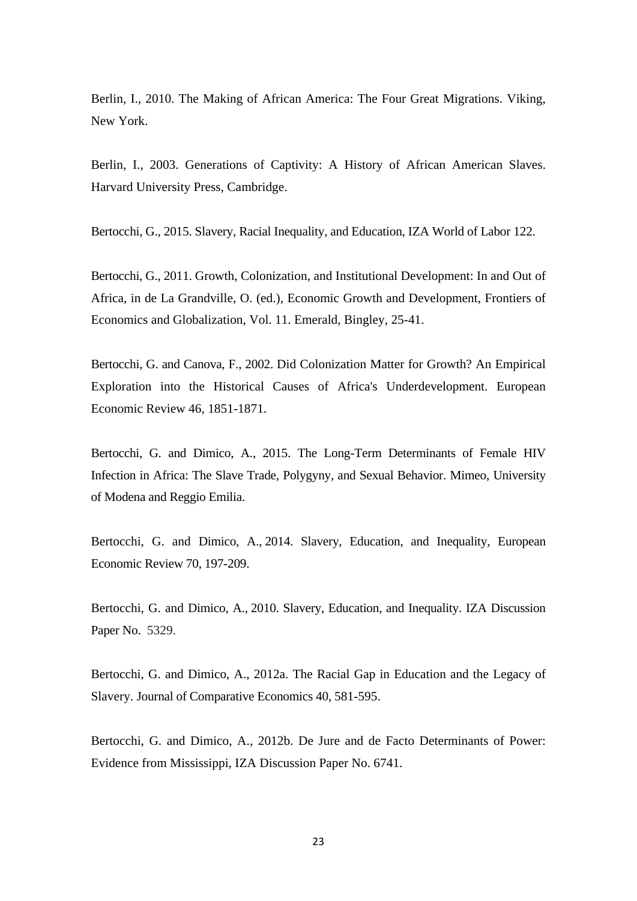Berlin, I., 2010. The Making of African America: The Four Great Migrations. Viking, New York.

Berlin, I., 2003. Generations of Captivity: A History of African American Slaves. Harvard University Press, Cambridge.

Bertocchi, G., 2015. Slavery, Racial Inequality, and Education, IZA World of Labor 122.

Bertocchi, G., 2011. Growth, Colonization, and Institutional Development: In and Out of Africa, in de La Grandville, O. (ed.), Economic Growth and Development, Frontiers of Economics and Globalization, Vol. 11. Emerald, Bingley, 25-41.

Bertocchi, G. and Canova, F., 2002. Did Colonization Matter for Growth? An Empirical Exploration into the Historical Causes of Africa's Underdevelopment. European Economic Review 46, 1851-1871.

Bertocchi, G. and Dimico, A., 2015. The Long-Term Determinants of Female HIV Infection in Africa: The Slave Trade, Polygyny, and Sexual Behavior. Mimeo, University of Modena and Reggio Emilia.

Bertocchi, G. and Dimico, A., 2014. Slavery, Education, and Inequality, European Economic Review 70, 197-209.

Bertocchi, G. and Dimico, A., 2010. Slavery, Education, and Inequality. IZA Discussion Paper No. 5329.

Bertocchi, G. and Dimico, A., 2012a. The Racial Gap in Education and the Legacy of Slavery. Journal of Comparative Economics 40, 581-595.

Bertocchi, G. and Dimico, A., 2012b. De Jure and de Facto Determinants of Power: Evidence from Mississippi, IZA Discussion Paper No. 6741.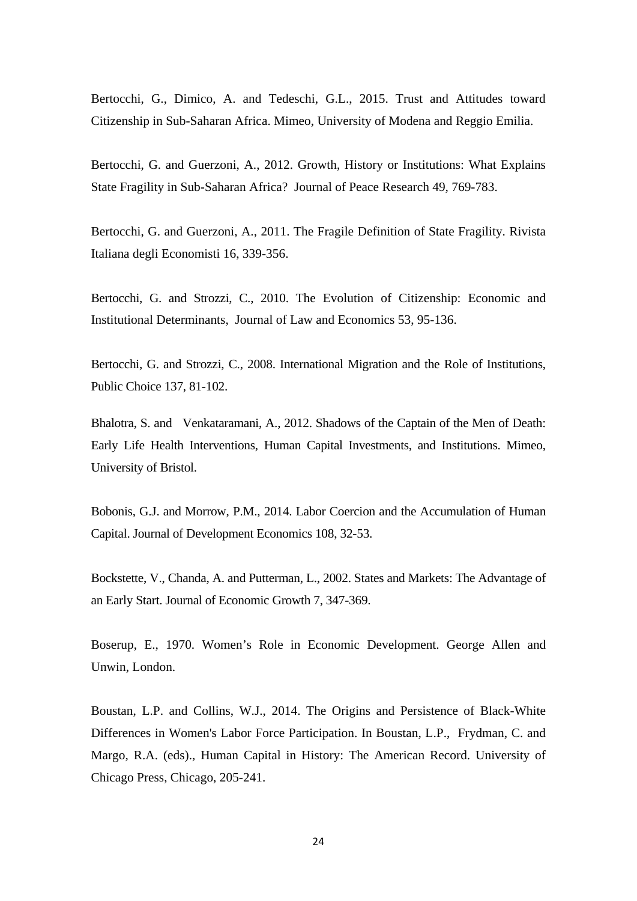Bertocchi, G., Dimico, A. and Tedeschi, G.L., 2015. Trust and Attitudes toward Citizenship in Sub-Saharan Africa. Mimeo, University of Modena and Reggio Emilia.

Bertocchi, G. and Guerzoni, A., 2012. Growth, History or Institutions: What Explains State Fragility in Sub-Saharan Africa? Journal of Peace Research 49, 769-783.

Bertocchi, G. and Guerzoni, A., 2011. The Fragile Definition of State Fragility. Rivista Italiana degli Economisti 16, 339-356.

Bertocchi, G. and Strozzi, C., 2010. The Evolution of Citizenship: Economic and Institutional Determinants, Journal of Law and Economics 53, 95-136.

Bertocchi, G. and Strozzi, C., 2008. International Migration and the Role of Institutions, Public Choice 137, 81-102.

Bhalotra, S. and Venkataramani, A., 2012. Shadows of the Captain of the Men of Death: Early Life Health Interventions, Human Capital Investments, and Institutions. Mimeo, University of Bristol.

Bobonis, G.J. and Morrow, P.M., 2014. Labor Coercion and the Accumulation of Human Capital. Journal of Development Economics 108, 32-53.

Bockstette, V., Chanda, A. and Putterman, L., 2002. States and Markets: The Advantage of an Early Start. Journal of Economic Growth 7, 347-369.

Boserup, E., 1970. Women's Role in Economic Development. George Allen and Unwin, London.

Boustan, L.P. and Collins, W.J., 2014. The Origins and Persistence of Black-White Differences in Women's Labor Force Participation. In Boustan, L.P., Frydman, C. and Margo, R.A. (eds)., Human Capital in History: The American Record. University of Chicago Press, Chicago, 205-241.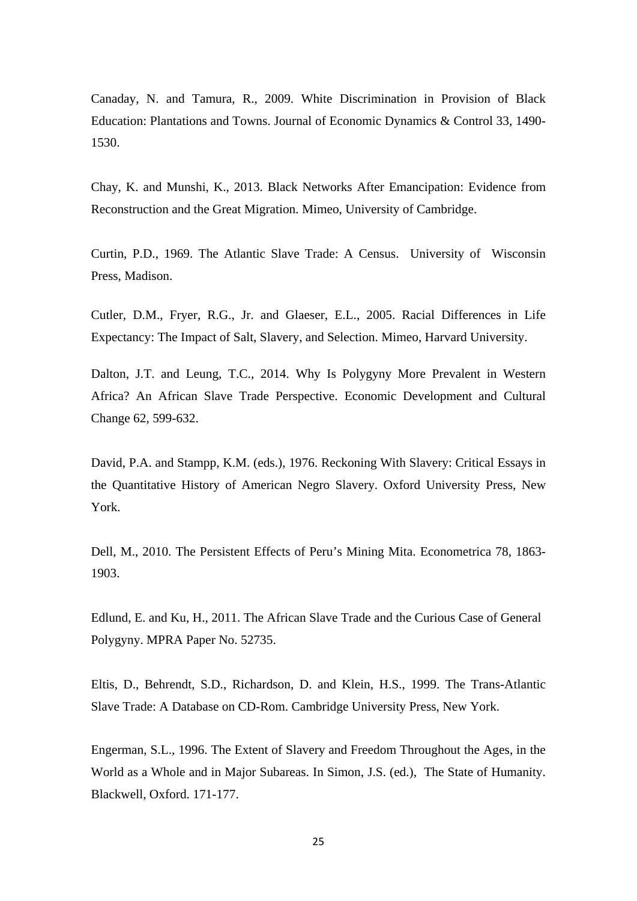Canaday, N. and Tamura, R., 2009. White Discrimination in Provision of Black Education: Plantations and Towns. Journal of Economic Dynamics & Control 33, 1490- 1530.

Chay, K. and Munshi, K., 2013. Black Networks After Emancipation: Evidence from Reconstruction and the Great Migration. Mimeo, University of Cambridge.

Curtin, P.D., 1969. The Atlantic Slave Trade: A Census. University of Wisconsin Press, Madison.

Cutler, D.M., Fryer, R.G., Jr. and Glaeser, E.L., 2005. Racial Differences in Life Expectancy: The Impact of Salt, Slavery, and Selection. Mimeo, Harvard University.

Dalton, J.T. and Leung, T.C., 2014. Why Is Polygyny More Prevalent in Western Africa? An African Slave Trade Perspective. Economic Development and Cultural Change 62, 599-632.

David, P.A. and Stampp, K.M. (eds.), 1976. Reckoning With Slavery: Critical Essays in the Quantitative History of American Negro Slavery. Oxford University Press, New York.

Dell, M., 2010. The Persistent Effects of Peru's Mining Mita. Econometrica 78, 1863- 1903.

Edlund, E. and Ku, H., 2011. The African Slave Trade and the Curious Case of General Polygyny. MPRA Paper No. 52735.

Eltis, D., Behrendt, S.D., Richardson, D. and Klein, H.S., 1999. The Trans-Atlantic Slave Trade: A Database on CD-Rom. Cambridge University Press, New York.

Engerman, S.L., 1996. The Extent of Slavery and Freedom Throughout the Ages, in the World as a Whole and in Major Subareas. In Simon, J.S. (ed.), The State of Humanity. Blackwell, Oxford. 171-177.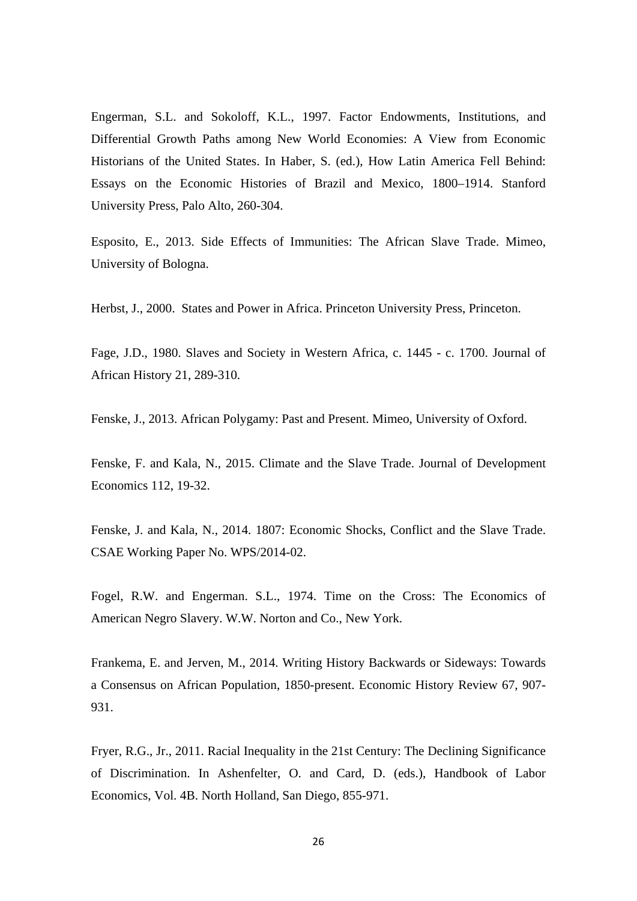Engerman, S.L. and Sokoloff, K.L., 1997. Factor Endowments, Institutions, and Differential Growth Paths among New World Economies: A View from Economic Historians of the United States. In Haber, S. (ed.), How Latin America Fell Behind: Essays on the Economic Histories of Brazil and Mexico, 1800–1914. Stanford University Press, Palo Alto, 260-304.

Esposito, E., 2013. Side Effects of Immunities: The African Slave Trade. Mimeo, University of Bologna.

Herbst, J., 2000. States and Power in Africa. Princeton University Press, Princeton.

Fage, J.D., 1980. Slaves and Society in Western Africa, c. 1445 - c. 1700. Journal of African History 21, 289-310.

Fenske, J., 2013. African Polygamy: Past and Present. Mimeo, University of Oxford.

Fenske, F. and Kala, N., 2015. Climate and the Slave Trade. Journal of Development Economics 112, 19-32.

Fenske, J. and Kala, N., 2014. 1807: Economic Shocks, Conflict and the Slave Trade. CSAE Working Paper No. WPS/2014-02.

Fogel, R.W. and Engerman. S.L., 1974. Time on the Cross: The Economics of American Negro Slavery. W.W. Norton and Co., New York.

Frankema, E. and Jerven, M., 2014. Writing History Backwards or Sideways: Towards a Consensus on African Population, 1850-present. Economic History Review 67, 907- 931.

Fryer, R.G., Jr., 2011. Racial Inequality in the 21st Century: The Declining Significance of Discrimination. In Ashenfelter, O. and Card, D. (eds.), Handbook of Labor Economics, Vol. 4B. North Holland, San Diego, 855-971.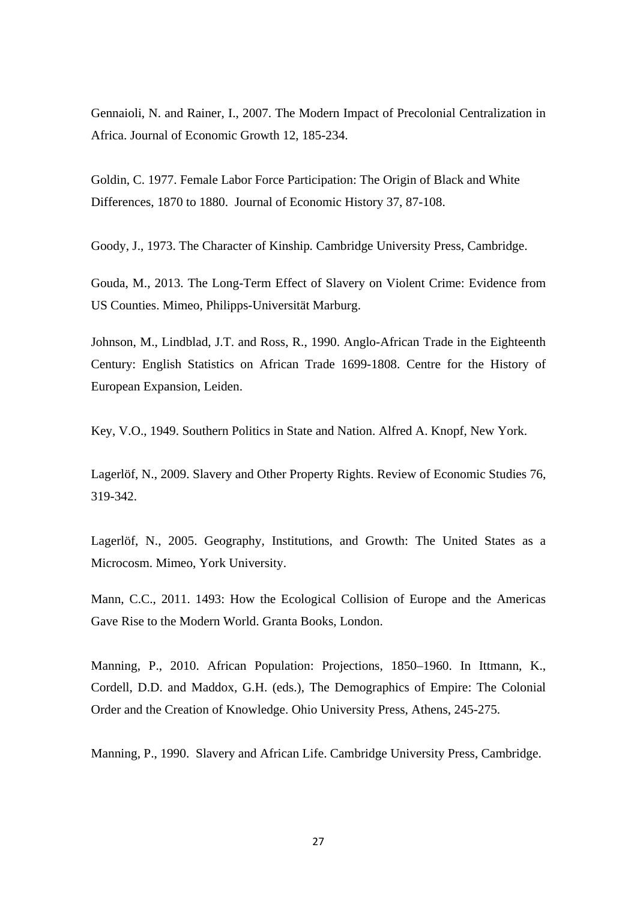Gennaioli, N. and Rainer, I., 2007. The Modern Impact of Precolonial Centralization in Africa. Journal of Economic Growth 12, 185-234.

Goldin, C. 1977. Female Labor Force Participation: The Origin of Black and White Differences, 1870 to 1880. Journal of Economic History 37, 87-108.

Goody, J., 1973. The Character of Kinship*.* Cambridge University Press, Cambridge.

Gouda, M., 2013. The Long-Term Effect of Slavery on Violent Crime: Evidence from US Counties. Mimeo, Philipps-Universität Marburg.

Johnson, M., Lindblad, J.T. and Ross, R., 1990. Anglo-African Trade in the Eighteenth Century: English Statistics on African Trade 1699-1808. Centre for the History of European Expansion, Leiden.

Key, V.O., 1949. Southern Politics in State and Nation. Alfred A. Knopf, New York.

Lagerlöf, N., 2009. Slavery and Other Property Rights. Review of Economic Studies 76, 319-342.

Lagerlöf, N., 2005. Geography, Institutions, and Growth: The United States as a Microcosm. Mimeo, York University.

Mann, C.C., 2011. 1493: How the Ecological Collision of Europe and the Americas Gave Rise to the Modern World. Granta Books, London.

Manning, P., 2010. African Population: Projections, 1850–1960. In Ittmann, K., Cordell, D.D. and Maddox, G.H. (eds.), The Demographics of Empire: The Colonial Order and the Creation of Knowledge. Ohio University Press, Athens, 245-275.

Manning, P., 1990. Slavery and African Life. Cambridge University Press, Cambridge.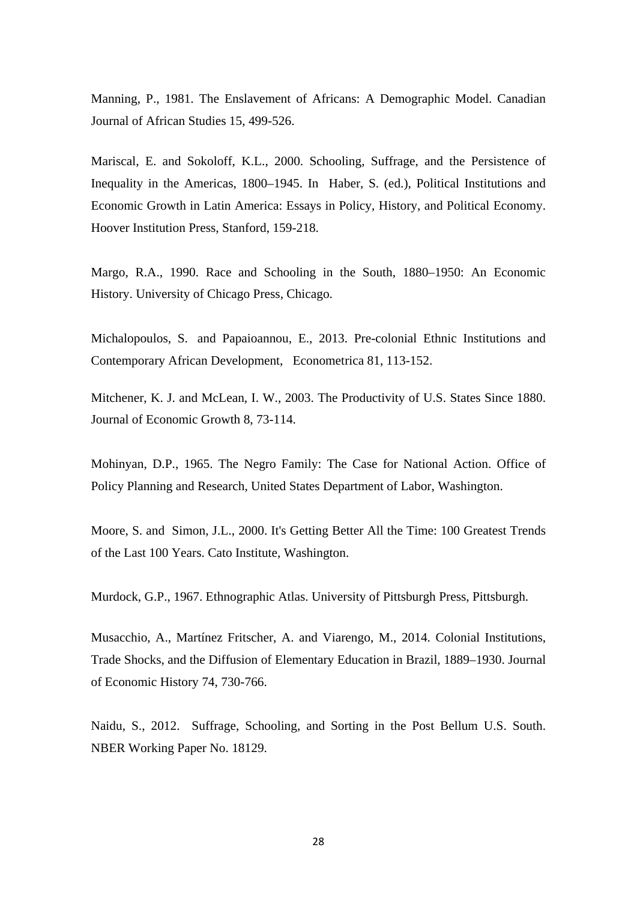Manning, P., 1981. The Enslavement of Africans: A Demographic Model. Canadian Journal of African Studies 15, 499-526.

Mariscal, E. and Sokoloff, K.L., 2000. Schooling, Suffrage, and the Persistence of Inequality in the Americas, 1800–1945. In Haber, S. (ed.), Political Institutions and Economic Growth in Latin America: Essays in Policy, History, and Political Economy. Hoover Institution Press, Stanford, 159-218.

Margo, R.A., 1990. Race and Schooling in the South, 1880–1950: An Economic History. University of Chicago Press, Chicago.

Michalopoulos, S. and Papaioannou, E., 2013. Pre-colonial Ethnic Institutions and Contemporary African Development, Econometrica 81, 113-152.

Mitchener, K. J. and McLean, I. W., 2003. The Productivity of U.S. States Since 1880. Journal of Economic Growth 8, 73-114.

Mohinyan, D.P., 1965. The Negro Family: The Case for National Action. Office of Policy Planning and Research, United States Department of Labor, Washington.

Moore, S. and Simon, J.L., 2000. It's Getting Better All the Time: 100 Greatest Trends of the Last 100 Years. Cato Institute, Washington.

Murdock, G.P., 1967. Ethnographic Atlas. University of Pittsburgh Press, Pittsburgh.

Musacchio, A., Martínez Fritscher, A. and Viarengo, M., 2014. Colonial Institutions, Trade Shocks, and the Diffusion of Elementary Education in Brazil, 1889–1930. Journal of Economic History 74, 730-766.

Naidu, S., 2012. Suffrage, Schooling, and Sorting in the Post Bellum U.S. South. NBER Working Paper No. 18129.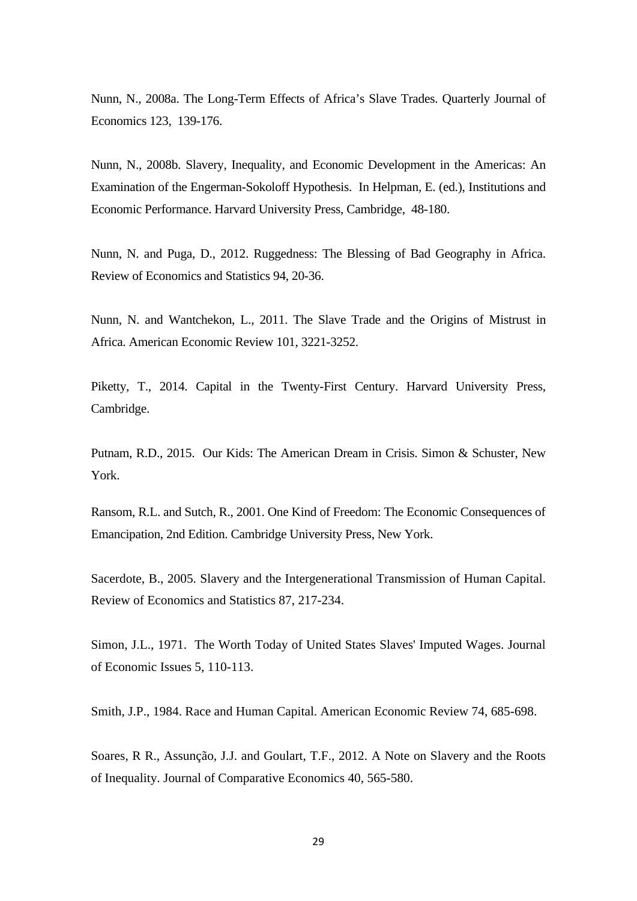Nunn, N., 2008a. The Long-Term Effects of Africa's Slave Trades. Quarterly Journal of Economics 123, 139-176.

Nunn, N., 2008b. Slavery, Inequality, and Economic Development in the Americas: An Examination of the Engerman-Sokoloff Hypothesis. In Helpman, E. (ed.), Institutions and Economic Performance. Harvard University Press, Cambridge, 48-180.

Nunn, N. and Puga, D., 2012. Ruggedness: The Blessing of Bad Geography in Africa. Review of Economics and Statistics 94, 20-36.

Nunn, N. and Wantchekon, L., 2011. The Slave Trade and the Origins of Mistrust in Africa. American Economic Review 101, 3221-3252.

Piketty, T., 2014. Capital in the Twenty-First Century. Harvard University Press, Cambridge.

Putnam, R.D., 2015. Our Kids: The American Dream in Crisis. Simon & Schuster, New York.

Ransom, R.L. and Sutch, R., 2001. One Kind of Freedom: The Economic Consequences of Emancipation, 2nd Edition. Cambridge University Press, New York.

Sacerdote, B., 2005. Slavery and the Intergenerational Transmission of Human Capital. Review of Economics and Statistics 87, 217-234.

Simon, J.L., 1971. The Worth Today of United States Slaves' Imputed Wages. Journal of Economic Issues 5, 110-113.

Smith, J.P., 1984. Race and Human Capital. American Economic Review 74, 685-698.

Soares, R R., Assunção, J.J. and Goulart, T.F., 2012. A Note on Slavery and the Roots of Inequality. Journal of Comparative Economics 40, 565-580.